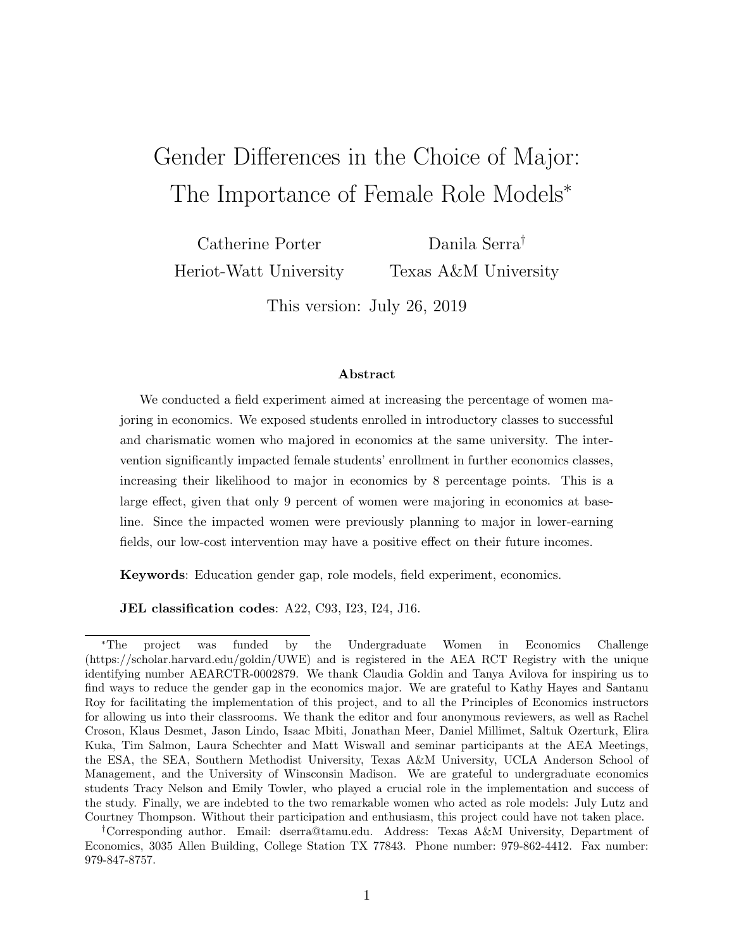# Gender Differences in the Choice of Major: The Importance of Female Role Models<sup>∗</sup>

Catherine Porter Heriot-Watt University

Danila Serra† Texas A&M University

This version: July 26, 2019

#### Abstract

We conducted a field experiment aimed at increasing the percentage of women majoring in economics. We exposed students enrolled in introductory classes to successful and charismatic women who majored in economics at the same university. The intervention significantly impacted female students' enrollment in further economics classes, increasing their likelihood to major in economics by 8 percentage points. This is a large effect, given that only 9 percent of women were majoring in economics at baseline. Since the impacted women were previously planning to major in lower-earning fields, our low-cost intervention may have a positive effect on their future incomes.

Keywords: Education gender gap, role models, field experiment, economics.

JEL classification codes: A22, C93, I23, I24, J16.

<sup>∗</sup>The project was funded by the Undergraduate Women in Economics Challenge (https://scholar.harvard.edu/goldin/UWE) and is registered in the AEA RCT Registry with the unique identifying number AEARCTR-0002879. We thank Claudia Goldin and Tanya Avilova for inspiring us to find ways to reduce the gender gap in the economics major. We are grateful to Kathy Hayes and Santanu Roy for facilitating the implementation of this project, and to all the Principles of Economics instructors for allowing us into their classrooms. We thank the editor and four anonymous reviewers, as well as Rachel Croson, Klaus Desmet, Jason Lindo, Isaac Mbiti, Jonathan Meer, Daniel Millimet, Saltuk Ozerturk, Elira Kuka, Tim Salmon, Laura Schechter and Matt Wiswall and seminar participants at the AEA Meetings, the ESA, the SEA, Southern Methodist University, Texas A&M University, UCLA Anderson School of Management, and the University of Winsconsin Madison. We are grateful to undergraduate economics students Tracy Nelson and Emily Towler, who played a crucial role in the implementation and success of the study. Finally, we are indebted to the two remarkable women who acted as role models: July Lutz and Courtney Thompson. Without their participation and enthusiasm, this project could have not taken place.

<sup>†</sup>Corresponding author. Email: dserra@tamu.edu. Address: Texas A&M University, Department of Economics, 3035 Allen Building, College Station TX 77843. Phone number: 979-862-4412. Fax number: 979-847-8757.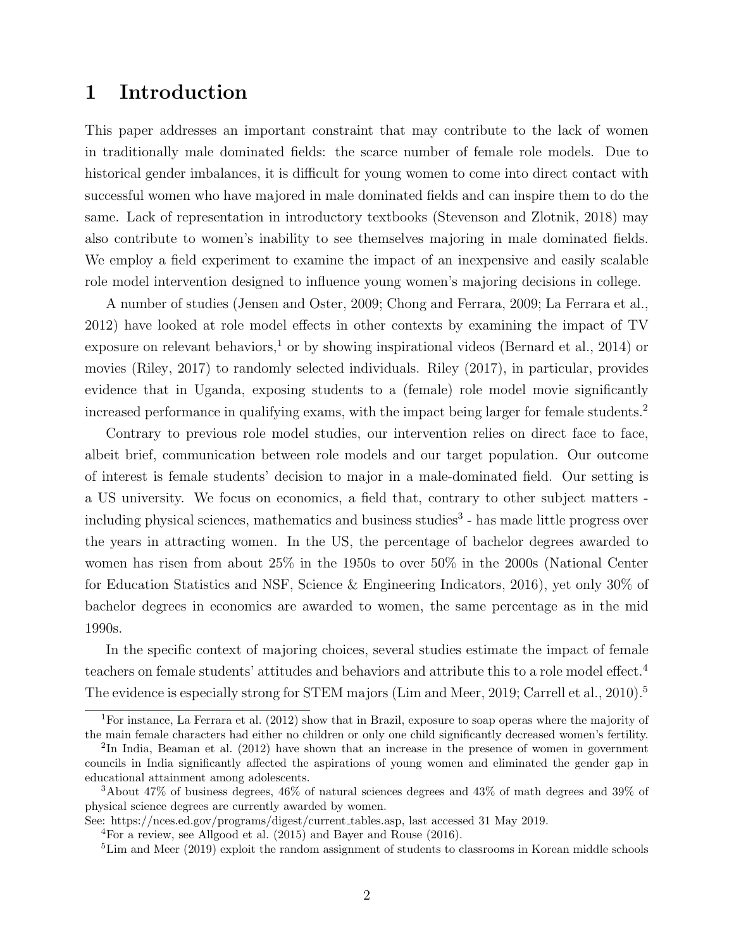### 1 Introduction

This paper addresses an important constraint that may contribute to the lack of women in traditionally male dominated fields: the scarce number of female role models. Due to historical gender imbalances, it is difficult for young women to come into direct contact with successful women who have majored in male dominated fields and can inspire them to do the same. Lack of representation in introductory textbooks (Stevenson and Zlotnik, 2018) may also contribute to women's inability to see themselves majoring in male dominated fields. We employ a field experiment to examine the impact of an inexpensive and easily scalable role model intervention designed to influence young women's majoring decisions in college.

A number of studies (Jensen and Oster, 2009; Chong and Ferrara, 2009; La Ferrara et al., 2012) have looked at role model effects in other contexts by examining the impact of TV exposure on relevant behaviors,<sup>1</sup> or by showing inspirational videos (Bernard et al., 2014) or movies (Riley, 2017) to randomly selected individuals. Riley (2017), in particular, provides evidence that in Uganda, exposing students to a (female) role model movie significantly increased performance in qualifying exams, with the impact being larger for female students.<sup>2</sup>

Contrary to previous role model studies, our intervention relies on direct face to face, albeit brief, communication between role models and our target population. Our outcome of interest is female students' decision to major in a male-dominated field. Our setting is a US university. We focus on economics, a field that, contrary to other subject matters including physical sciences, mathematics and business studies<sup>3</sup> - has made little progress over the years in attracting women. In the US, the percentage of bachelor degrees awarded to women has risen from about 25% in the 1950s to over 50% in the 2000s (National Center for Education Statistics and NSF, Science & Engineering Indicators, 2016), yet only 30% of bachelor degrees in economics are awarded to women, the same percentage as in the mid 1990s.

In the specific context of majoring choices, several studies estimate the impact of female teachers on female students' attitudes and behaviors and attribute this to a role model effect.<sup>4</sup> The evidence is especially strong for STEM majors (Lim and Meer, 2019; Carrell et al., 2010).<sup>5</sup>

<sup>&</sup>lt;sup>1</sup>For instance, La Ferrara et al. (2012) show that in Brazil, exposure to soap operas where the majority of the main female characters had either no children or only one child significantly decreased women's fertility.

<sup>&</sup>lt;sup>2</sup>In India, Beaman et al. (2012) have shown that an increase in the presence of women in government councils in India significantly affected the aspirations of young women and eliminated the gender gap in educational attainment among adolescents.

<sup>3</sup>About 47% of business degrees, 46% of natural sciences degrees and 43% of math degrees and 39% of physical science degrees are currently awarded by women.

See: https://nces.ed.gov/programs/digest/current tables.asp, last accessed 31 May 2019.

<sup>&</sup>lt;sup>4</sup>For a review, see Allgood et al.  $(2015)$  and Bayer and Rouse  $(2016)$ .

<sup>&</sup>lt;sup>5</sup>Lim and Meer (2019) exploit the random assignment of students to classrooms in Korean middle schools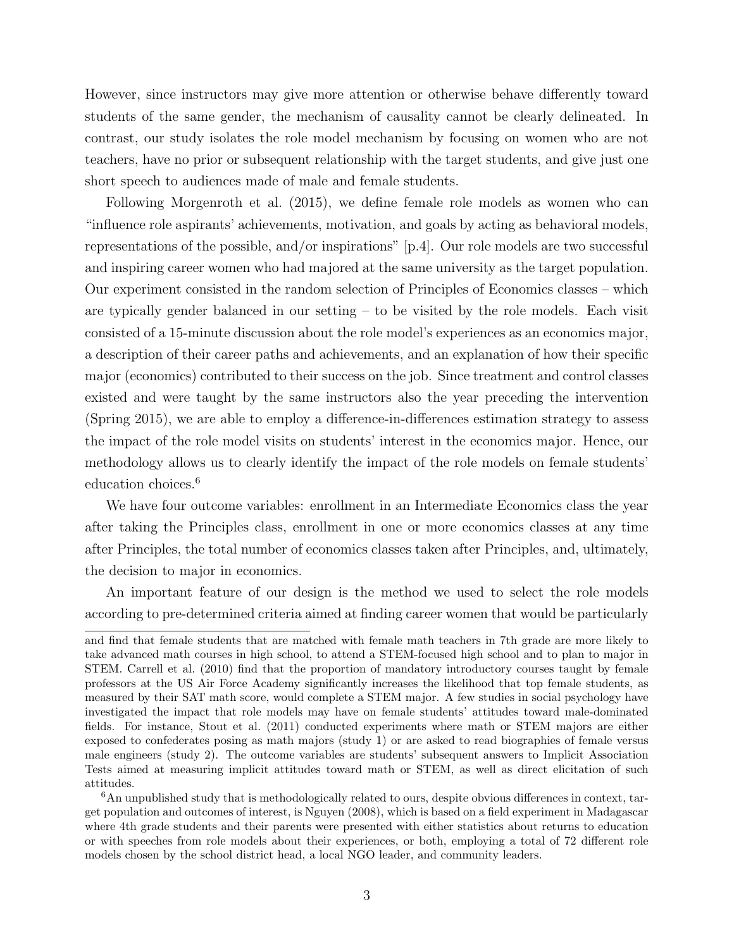However, since instructors may give more attention or otherwise behave differently toward students of the same gender, the mechanism of causality cannot be clearly delineated. In contrast, our study isolates the role model mechanism by focusing on women who are not teachers, have no prior or subsequent relationship with the target students, and give just one short speech to audiences made of male and female students.

Following Morgenroth et al. (2015), we define female role models as women who can "influence role aspirants' achievements, motivation, and goals by acting as behavioral models, representations of the possible, and/or inspirations" [p.4]. Our role models are two successful and inspiring career women who had majored at the same university as the target population. Our experiment consisted in the random selection of Principles of Economics classes – which are typically gender balanced in our setting  $-$  to be visited by the role models. Each visit consisted of a 15-minute discussion about the role model's experiences as an economics major, a description of their career paths and achievements, and an explanation of how their specific major (economics) contributed to their success on the job. Since treatment and control classes existed and were taught by the same instructors also the year preceding the intervention (Spring 2015), we are able to employ a difference-in-differences estimation strategy to assess the impact of the role model visits on students' interest in the economics major. Hence, our methodology allows us to clearly identify the impact of the role models on female students' education choices.<sup>6</sup>

We have four outcome variables: enrollment in an Intermediate Economics class the year after taking the Principles class, enrollment in one or more economics classes at any time after Principles, the total number of economics classes taken after Principles, and, ultimately, the decision to major in economics.

An important feature of our design is the method we used to select the role models according to pre-determined criteria aimed at finding career women that would be particularly

and find that female students that are matched with female math teachers in 7th grade are more likely to take advanced math courses in high school, to attend a STEM-focused high school and to plan to major in STEM. Carrell et al. (2010) find that the proportion of mandatory introductory courses taught by female professors at the US Air Force Academy significantly increases the likelihood that top female students, as measured by their SAT math score, would complete a STEM major. A few studies in social psychology have investigated the impact that role models may have on female students' attitudes toward male-dominated fields. For instance, Stout et al. (2011) conducted experiments where math or STEM majors are either exposed to confederates posing as math majors (study 1) or are asked to read biographies of female versus male engineers (study 2). The outcome variables are students' subsequent answers to Implicit Association Tests aimed at measuring implicit attitudes toward math or STEM, as well as direct elicitation of such attitudes.

<sup>6</sup>An unpublished study that is methodologically related to ours, despite obvious differences in context, target population and outcomes of interest, is Nguyen (2008), which is based on a field experiment in Madagascar where 4th grade students and their parents were presented with either statistics about returns to education or with speeches from role models about their experiences, or both, employing a total of 72 different role models chosen by the school district head, a local NGO leader, and community leaders.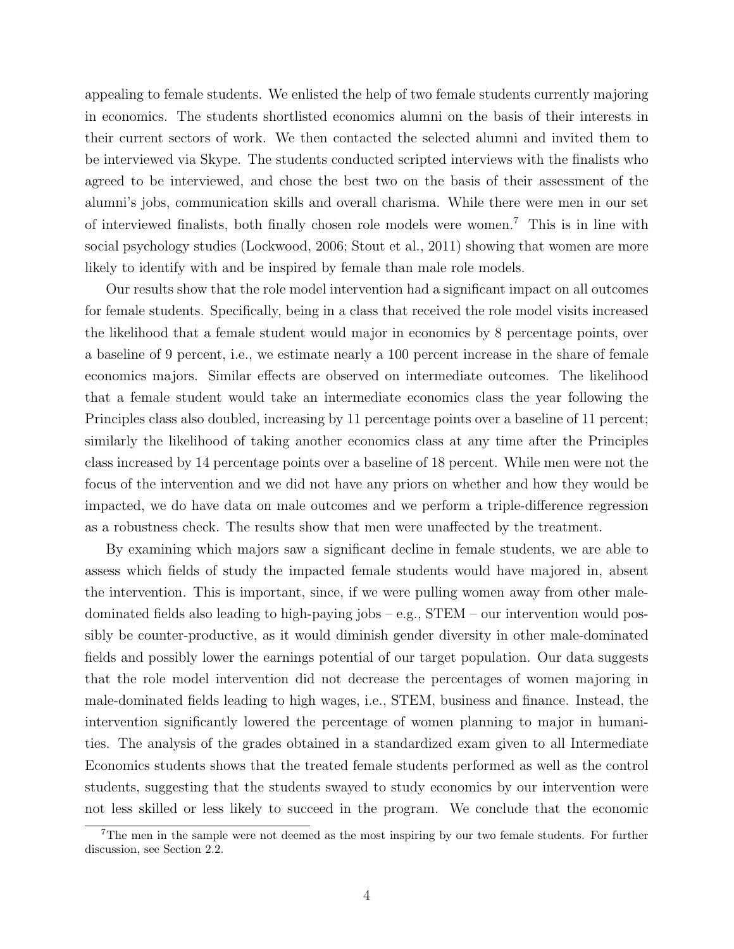appealing to female students. We enlisted the help of two female students currently majoring in economics. The students shortlisted economics alumni on the basis of their interests in their current sectors of work. We then contacted the selected alumni and invited them to be interviewed via Skype. The students conducted scripted interviews with the finalists who agreed to be interviewed, and chose the best two on the basis of their assessment of the alumni's jobs, communication skills and overall charisma. While there were men in our set of interviewed finalists, both finally chosen role models were women.<sup>7</sup> This is in line with social psychology studies (Lockwood, 2006; Stout et al., 2011) showing that women are more likely to identify with and be inspired by female than male role models.

Our results show that the role model intervention had a significant impact on all outcomes for female students. Specifically, being in a class that received the role model visits increased the likelihood that a female student would major in economics by 8 percentage points, over a baseline of 9 percent, i.e., we estimate nearly a 100 percent increase in the share of female economics majors. Similar effects are observed on intermediate outcomes. The likelihood that a female student would take an intermediate economics class the year following the Principles class also doubled, increasing by 11 percentage points over a baseline of 11 percent; similarly the likelihood of taking another economics class at any time after the Principles class increased by 14 percentage points over a baseline of 18 percent. While men were not the focus of the intervention and we did not have any priors on whether and how they would be impacted, we do have data on male outcomes and we perform a triple-difference regression as a robustness check. The results show that men were unaffected by the treatment.

By examining which majors saw a significant decline in female students, we are able to assess which fields of study the impacted female students would have majored in, absent the intervention. This is important, since, if we were pulling women away from other maledominated fields also leading to high-paying jobs – e.g., STEM – our intervention would possibly be counter-productive, as it would diminish gender diversity in other male-dominated fields and possibly lower the earnings potential of our target population. Our data suggests that the role model intervention did not decrease the percentages of women majoring in male-dominated fields leading to high wages, i.e., STEM, business and finance. Instead, the intervention significantly lowered the percentage of women planning to major in humanities. The analysis of the grades obtained in a standardized exam given to all Intermediate Economics students shows that the treated female students performed as well as the control students, suggesting that the students swayed to study economics by our intervention were not less skilled or less likely to succeed in the program. We conclude that the economic

<sup>&</sup>lt;sup>7</sup>The men in the sample were not deemed as the most inspiring by our two female students. For further discussion, see Section 2.2.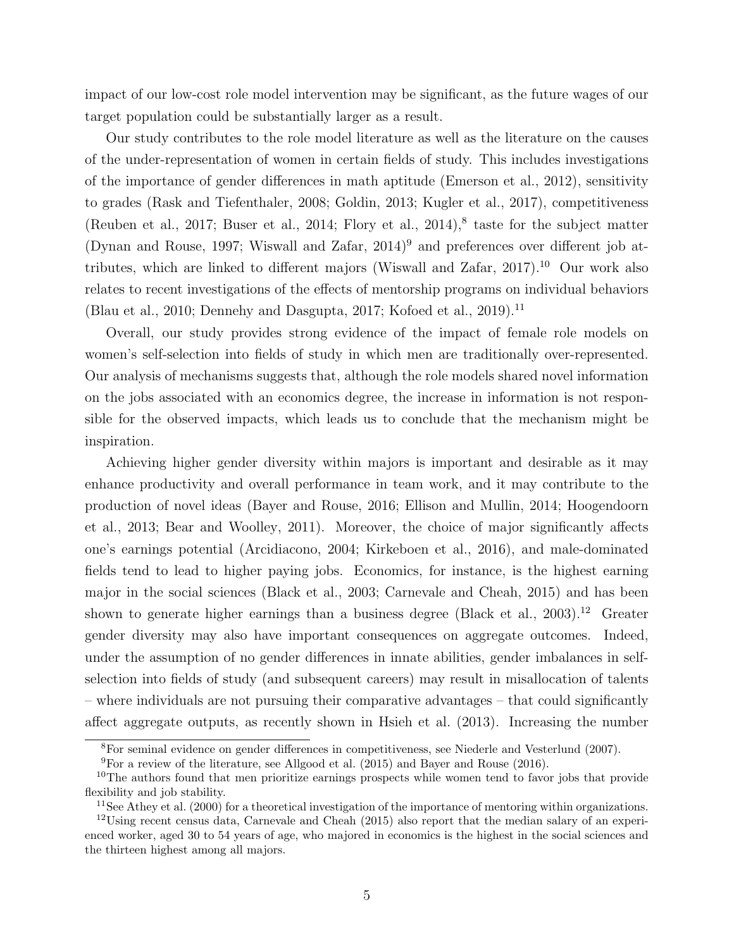impact of our low-cost role model intervention may be significant, as the future wages of our target population could be substantially larger as a result.

Our study contributes to the role model literature as well as the literature on the causes of the under-representation of women in certain fields of study. This includes investigations of the importance of gender differences in math aptitude (Emerson et al., 2012), sensitivity to grades (Rask and Tiefenthaler, 2008; Goldin, 2013; Kugler et al., 2017), competitiveness (Reuben et al., 2017; Buser et al., 2014; Flory et al., 2014), $^8$  taste for the subject matter (Dynan and Rouse, 1997; Wiswall and Zafar,  $2014$ )<sup>9</sup> and preferences over different job attributes, which are linked to different majors (Wiswall and Zafar, 2017).<sup>10</sup> Our work also relates to recent investigations of the effects of mentorship programs on individual behaviors (Blau et al., 2010; Dennehy and Dasgupta, 2017; Kofoed et al., 2019).<sup>11</sup>

Overall, our study provides strong evidence of the impact of female role models on women's self-selection into fields of study in which men are traditionally over-represented. Our analysis of mechanisms suggests that, although the role models shared novel information on the jobs associated with an economics degree, the increase in information is not responsible for the observed impacts, which leads us to conclude that the mechanism might be inspiration.

Achieving higher gender diversity within majors is important and desirable as it may enhance productivity and overall performance in team work, and it may contribute to the production of novel ideas (Bayer and Rouse, 2016; Ellison and Mullin, 2014; Hoogendoorn et al., 2013; Bear and Woolley, 2011). Moreover, the choice of major significantly affects one's earnings potential (Arcidiacono, 2004; Kirkeboen et al., 2016), and male-dominated fields tend to lead to higher paying jobs. Economics, for instance, is the highest earning major in the social sciences (Black et al., 2003; Carnevale and Cheah, 2015) and has been shown to generate higher earnings than a business degree (Black et al., 2003).<sup>12</sup> Greater gender diversity may also have important consequences on aggregate outcomes. Indeed, under the assumption of no gender differences in innate abilities, gender imbalances in selfselection into fields of study (and subsequent careers) may result in misallocation of talents – where individuals are not pursuing their comparative advantages – that could significantly affect aggregate outputs, as recently shown in Hsieh et al. (2013). Increasing the number

<sup>8</sup>For seminal evidence on gender differences in competitiveness, see Niederle and Vesterlund (2007).

<sup>9</sup>For a review of the literature, see Allgood et al. (2015) and Bayer and Rouse (2016).

 $10$ The authors found that men prioritize earnings prospects while women tend to favor jobs that provide flexibility and job stability.

<sup>&</sup>lt;sup>11</sup>See Athey et al. (2000) for a theoretical investigation of the importance of mentoring within organizations.

 $12$ Using recent census data, Carnevale and Cheah (2015) also report that the median salary of an experienced worker, aged 30 to 54 years of age, who majored in economics is the highest in the social sciences and the thirteen highest among all majors.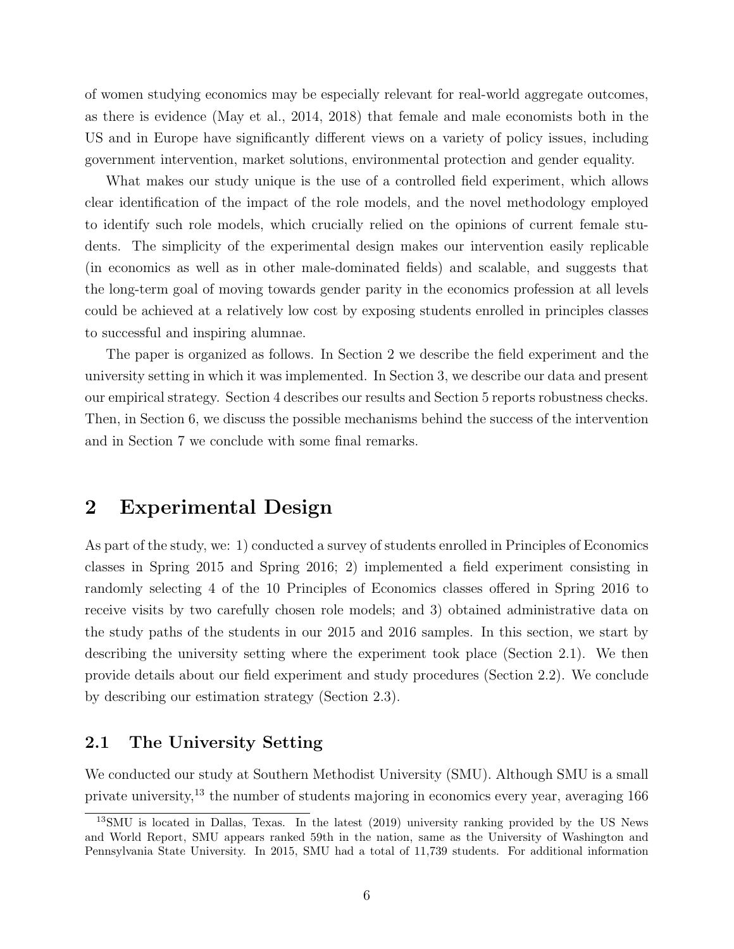of women studying economics may be especially relevant for real-world aggregate outcomes, as there is evidence (May et al., 2014, 2018) that female and male economists both in the US and in Europe have significantly different views on a variety of policy issues, including government intervention, market solutions, environmental protection and gender equality.

What makes our study unique is the use of a controlled field experiment, which allows clear identification of the impact of the role models, and the novel methodology employed to identify such role models, which crucially relied on the opinions of current female students. The simplicity of the experimental design makes our intervention easily replicable (in economics as well as in other male-dominated fields) and scalable, and suggests that the long-term goal of moving towards gender parity in the economics profession at all levels could be achieved at a relatively low cost by exposing students enrolled in principles classes to successful and inspiring alumnae.

The paper is organized as follows. In Section 2 we describe the field experiment and the university setting in which it was implemented. In Section 3, we describe our data and present our empirical strategy. Section 4 describes our results and Section 5 reports robustness checks. Then, in Section 6, we discuss the possible mechanisms behind the success of the intervention and in Section 7 we conclude with some final remarks.

### 2 Experimental Design

As part of the study, we: 1) conducted a survey of students enrolled in Principles of Economics classes in Spring 2015 and Spring 2016; 2) implemented a field experiment consisting in randomly selecting 4 of the 10 Principles of Economics classes offered in Spring 2016 to receive visits by two carefully chosen role models; and 3) obtained administrative data on the study paths of the students in our 2015 and 2016 samples. In this section, we start by describing the university setting where the experiment took place (Section 2.1). We then provide details about our field experiment and study procedures (Section 2.2). We conclude by describing our estimation strategy (Section 2.3).

#### 2.1 The University Setting

We conducted our study at Southern Methodist University (SMU). Although SMU is a small private university,<sup>13</sup> the number of students majoring in economics every year, averaging 166

<sup>13</sup>SMU is located in Dallas, Texas. In the latest (2019) university ranking provided by the US News and World Report, SMU appears ranked 59th in the nation, same as the University of Washington and Pennsylvania State University. In 2015, SMU had a total of 11,739 students. For additional information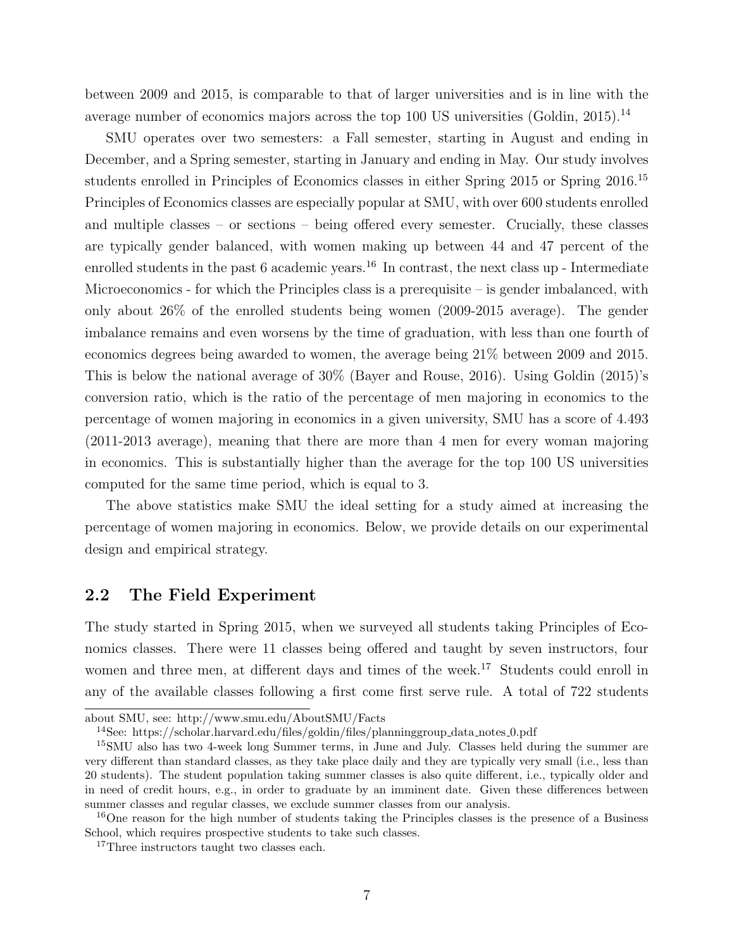between 2009 and 2015, is comparable to that of larger universities and is in line with the average number of economics majors across the top 100 US universities (Goldin, 2015).<sup>14</sup>

SMU operates over two semesters: a Fall semester, starting in August and ending in December, and a Spring semester, starting in January and ending in May. Our study involves students enrolled in Principles of Economics classes in either Spring 2015 or Spring 2016.<sup>15</sup> Principles of Economics classes are especially popular at SMU, with over 600 students enrolled and multiple classes – or sections – being offered every semester. Crucially, these classes are typically gender balanced, with women making up between 44 and 47 percent of the enrolled students in the past  $6$  academic years.<sup>16</sup> In contrast, the next class up - Intermediate Microeconomics - for which the Principles class is a prerequisite  $-$  is gender imbalanced, with only about 26% of the enrolled students being women (2009-2015 average). The gender imbalance remains and even worsens by the time of graduation, with less than one fourth of economics degrees being awarded to women, the average being 21% between 2009 and 2015. This is below the national average of 30% (Bayer and Rouse, 2016). Using Goldin (2015)'s conversion ratio, which is the ratio of the percentage of men majoring in economics to the percentage of women majoring in economics in a given university, SMU has a score of 4.493 (2011-2013 average), meaning that there are more than 4 men for every woman majoring in economics. This is substantially higher than the average for the top 100 US universities computed for the same time period, which is equal to 3.

The above statistics make SMU the ideal setting for a study aimed at increasing the percentage of women majoring in economics. Below, we provide details on our experimental design and empirical strategy.

#### 2.2 The Field Experiment

The study started in Spring 2015, when we surveyed all students taking Principles of Economics classes. There were 11 classes being offered and taught by seven instructors, four women and three men, at different days and times of the week.<sup>17</sup> Students could enroll in any of the available classes following a first come first serve rule. A total of 722 students

about SMU, see: http://www.smu.edu/AboutSMU/Facts

<sup>&</sup>lt;sup>14</sup>See: https://scholar.harvard.edu/files/goldin/files/planninggroup\_data\_notes\_0.pdf

<sup>15</sup>SMU also has two 4-week long Summer terms, in June and July. Classes held during the summer are very different than standard classes, as they take place daily and they are typically very small (i.e., less than 20 students). The student population taking summer classes is also quite different, i.e., typically older and in need of credit hours, e.g., in order to graduate by an imminent date. Given these differences between summer classes and regular classes, we exclude summer classes from our analysis.

<sup>&</sup>lt;sup>16</sup>One reason for the high number of students taking the Principles classes is the presence of a Business School, which requires prospective students to take such classes.

<sup>&</sup>lt;sup>17</sup>Three instructors taught two classes each.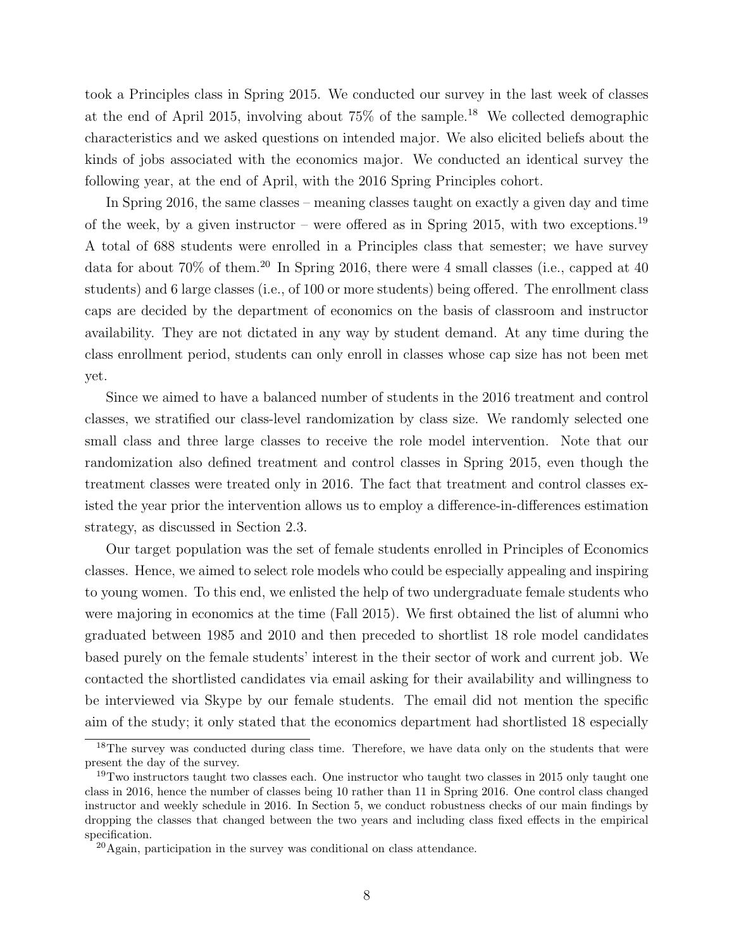took a Principles class in Spring 2015. We conducted our survey in the last week of classes at the end of April 2015, involving about 75% of the sample.<sup>18</sup> We collected demographic characteristics and we asked questions on intended major. We also elicited beliefs about the kinds of jobs associated with the economics major. We conducted an identical survey the following year, at the end of April, with the 2016 Spring Principles cohort.

In Spring 2016, the same classes – meaning classes taught on exactly a given day and time of the week, by a given instructor – were offered as in Spring 2015, with two exceptions.<sup>19</sup> A total of 688 students were enrolled in a Principles class that semester; we have survey data for about  $70\%$  of them.<sup>20</sup> In Spring 2016, there were 4 small classes (i.e., capped at 40) students) and 6 large classes (i.e., of 100 or more students) being offered. The enrollment class caps are decided by the department of economics on the basis of classroom and instructor availability. They are not dictated in any way by student demand. At any time during the class enrollment period, students can only enroll in classes whose cap size has not been met yet.

Since we aimed to have a balanced number of students in the 2016 treatment and control classes, we stratified our class-level randomization by class size. We randomly selected one small class and three large classes to receive the role model intervention. Note that our randomization also defined treatment and control classes in Spring 2015, even though the treatment classes were treated only in 2016. The fact that treatment and control classes existed the year prior the intervention allows us to employ a difference-in-differences estimation strategy, as discussed in Section 2.3.

Our target population was the set of female students enrolled in Principles of Economics classes. Hence, we aimed to select role models who could be especially appealing and inspiring to young women. To this end, we enlisted the help of two undergraduate female students who were majoring in economics at the time (Fall 2015). We first obtained the list of alumni who graduated between 1985 and 2010 and then preceded to shortlist 18 role model candidates based purely on the female students' interest in the their sector of work and current job. We contacted the shortlisted candidates via email asking for their availability and willingness to be interviewed via Skype by our female students. The email did not mention the specific aim of the study; it only stated that the economics department had shortlisted 18 especially

<sup>&</sup>lt;sup>18</sup>The survey was conducted during class time. Therefore, we have data only on the students that were present the day of the survey.

<sup>&</sup>lt;sup>19</sup>Two instructors taught two classes each. One instructor who taught two classes in 2015 only taught one class in 2016, hence the number of classes being 10 rather than 11 in Spring 2016. One control class changed instructor and weekly schedule in 2016. In Section 5, we conduct robustness checks of our main findings by dropping the classes that changed between the two years and including class fixed effects in the empirical specification.

<sup>20</sup>Again, participation in the survey was conditional on class attendance.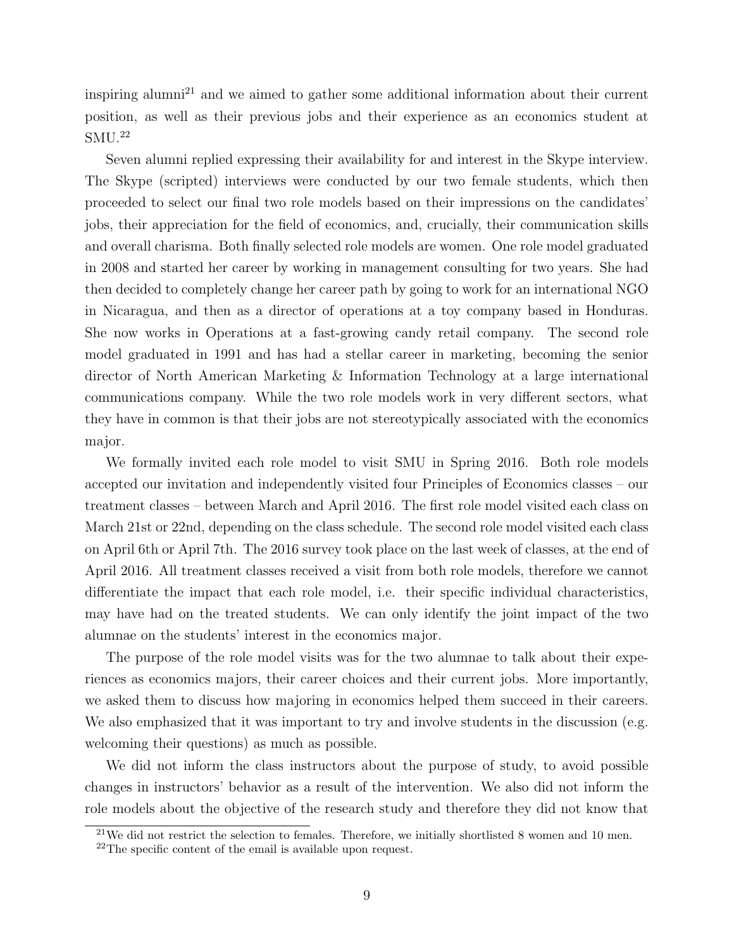inspiring alumni<sup>21</sup> and we aimed to gather some additional information about their current position, as well as their previous jobs and their experience as an economics student at SMU.<sup>22</sup>

Seven alumni replied expressing their availability for and interest in the Skype interview. The Skype (scripted) interviews were conducted by our two female students, which then proceeded to select our final two role models based on their impressions on the candidates' jobs, their appreciation for the field of economics, and, crucially, their communication skills and overall charisma. Both finally selected role models are women. One role model graduated in 2008 and started her career by working in management consulting for two years. She had then decided to completely change her career path by going to work for an international NGO in Nicaragua, and then as a director of operations at a toy company based in Honduras. She now works in Operations at a fast-growing candy retail company. The second role model graduated in 1991 and has had a stellar career in marketing, becoming the senior director of North American Marketing & Information Technology at a large international communications company. While the two role models work in very different sectors, what they have in common is that their jobs are not stereotypically associated with the economics major.

We formally invited each role model to visit SMU in Spring 2016. Both role models accepted our invitation and independently visited four Principles of Economics classes – our treatment classes – between March and April 2016. The first role model visited each class on March 21st or 22nd, depending on the class schedule. The second role model visited each class on April 6th or April 7th. The 2016 survey took place on the last week of classes, at the end of April 2016. All treatment classes received a visit from both role models, therefore we cannot differentiate the impact that each role model, i.e. their specific individual characteristics, may have had on the treated students. We can only identify the joint impact of the two alumnae on the students' interest in the economics major.

The purpose of the role model visits was for the two alumnae to talk about their experiences as economics majors, their career choices and their current jobs. More importantly, we asked them to discuss how majoring in economics helped them succeed in their careers. We also emphasized that it was important to try and involve students in the discussion (e.g. welcoming their questions) as much as possible.

We did not inform the class instructors about the purpose of study, to avoid possible changes in instructors' behavior as a result of the intervention. We also did not inform the role models about the objective of the research study and therefore they did not know that

 $^{21}$ We did not restrict the selection to females. Therefore, we initially shortlisted 8 women and 10 men.

 $22$ The specific content of the email is available upon request.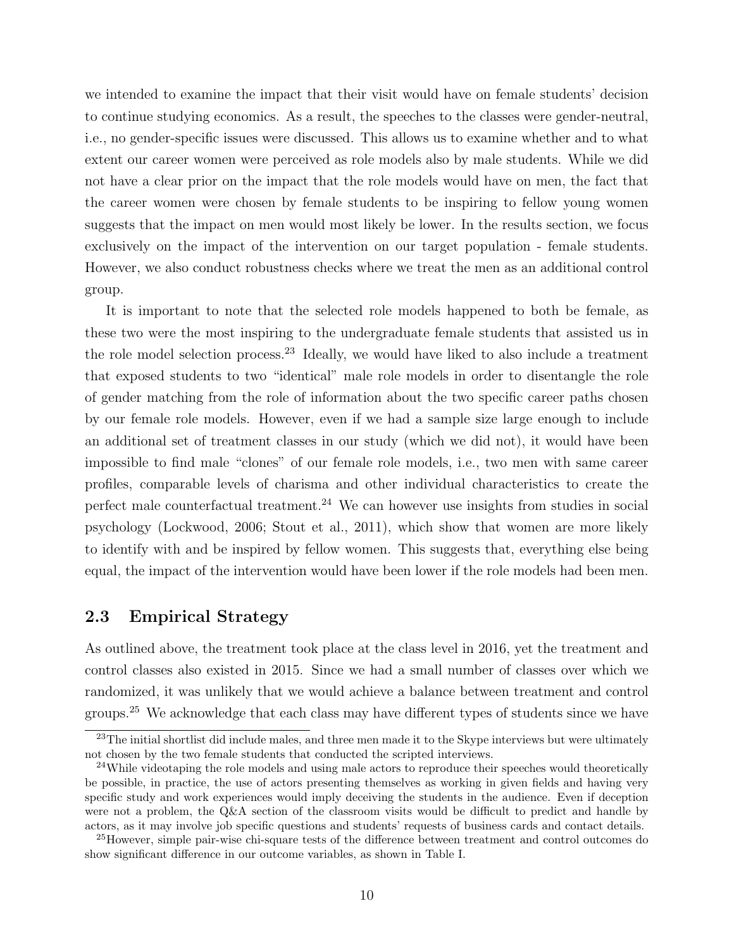we intended to examine the impact that their visit would have on female students' decision to continue studying economics. As a result, the speeches to the classes were gender-neutral, i.e., no gender-specific issues were discussed. This allows us to examine whether and to what extent our career women were perceived as role models also by male students. While we did not have a clear prior on the impact that the role models would have on men, the fact that the career women were chosen by female students to be inspiring to fellow young women suggests that the impact on men would most likely be lower. In the results section, we focus exclusively on the impact of the intervention on our target population - female students. However, we also conduct robustness checks where we treat the men as an additional control group.

It is important to note that the selected role models happened to both be female, as these two were the most inspiring to the undergraduate female students that assisted us in the role model selection process.<sup>23</sup> Ideally, we would have liked to also include a treatment that exposed students to two "identical" male role models in order to disentangle the role of gender matching from the role of information about the two specific career paths chosen by our female role models. However, even if we had a sample size large enough to include an additional set of treatment classes in our study (which we did not), it would have been impossible to find male "clones" of our female role models, i.e., two men with same career profiles, comparable levels of charisma and other individual characteristics to create the perfect male counterfactual treatment.<sup>24</sup> We can however use insights from studies in social psychology (Lockwood, 2006; Stout et al., 2011), which show that women are more likely to identify with and be inspired by fellow women. This suggests that, everything else being equal, the impact of the intervention would have been lower if the role models had been men.

### 2.3 Empirical Strategy

As outlined above, the treatment took place at the class level in 2016, yet the treatment and control classes also existed in 2015. Since we had a small number of classes over which we randomized, it was unlikely that we would achieve a balance between treatment and control groups.<sup>25</sup> We acknowledge that each class may have different types of students since we have

<sup>&</sup>lt;sup>23</sup>The initial shortlist did include males, and three men made it to the Skype interviews but were ultimately not chosen by the two female students that conducted the scripted interviews.

<sup>&</sup>lt;sup>24</sup>While videotaping the role models and using male actors to reproduce their speeches would theoretically be possible, in practice, the use of actors presenting themselves as working in given fields and having very specific study and work experiences would imply deceiving the students in the audience. Even if deception were not a problem, the Q&A section of the classroom visits would be difficult to predict and handle by actors, as it may involve job specific questions and students' requests of business cards and contact details.

<sup>&</sup>lt;sup>25</sup>However, simple pair-wise chi-square tests of the difference between treatment and control outcomes do show significant difference in our outcome variables, as shown in Table I.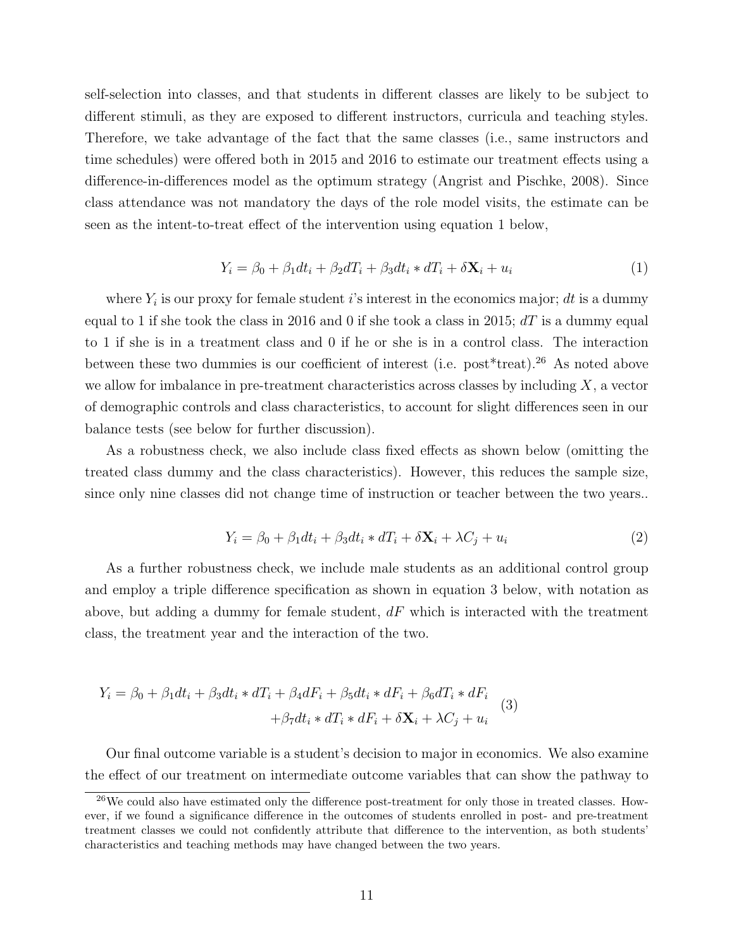self-selection into classes, and that students in different classes are likely to be subject to different stimuli, as they are exposed to different instructors, curricula and teaching styles. Therefore, we take advantage of the fact that the same classes (i.e., same instructors and time schedules) were offered both in 2015 and 2016 to estimate our treatment effects using a difference-in-differences model as the optimum strategy (Angrist and Pischke, 2008). Since class attendance was not mandatory the days of the role model visits, the estimate can be seen as the intent-to-treat effect of the intervention using equation 1 below,

$$
Y_i = \beta_0 + \beta_1 dt_i + \beta_2 dT_i + \beta_3 dt_i * dT_i + \delta \mathbf{X}_i + u_i \tag{1}
$$

where  $Y_i$  is our proxy for female student i's interest in the economics major; dt is a dummy equal to 1 if she took the class in 2016 and 0 if she took a class in 2015;  $dT$  is a dummy equal to 1 if she is in a treatment class and 0 if he or she is in a control class. The interaction between these two dummies is our coefficient of interest (i.e. post\*treat).<sup>26</sup> As noted above we allow for imbalance in pre-treatment characteristics across classes by including  $X$ , a vector of demographic controls and class characteristics, to account for slight differences seen in our balance tests (see below for further discussion).

As a robustness check, we also include class fixed effects as shown below (omitting the treated class dummy and the class characteristics). However, this reduces the sample size, since only nine classes did not change time of instruction or teacher between the two years..

$$
Y_i = \beta_0 + \beta_1 dt_i + \beta_3 dt_i * dT_i + \delta \mathbf{X}_i + \lambda C_j + u_i \tag{2}
$$

As a further robustness check, we include male students as an additional control group and employ a triple difference specification as shown in equation 3 below, with notation as above, but adding a dummy for female student,  $dF$  which is interacted with the treatment class, the treatment year and the interaction of the two.

$$
Y_i = \beta_0 + \beta_1 dt_i + \beta_3 dt_i * dT_i + \beta_4 dF_i + \beta_5 dt_i * dF_i + \beta_6 dT_i * dF_i
$$
  
+ 
$$
\beta_7 dt_i * dT_i * dF_i + \delta \mathbf{X}_i + \lambda C_j + u_i
$$
 (3)

Our final outcome variable is a student's decision to major in economics. We also examine the effect of our treatment on intermediate outcome variables that can show the pathway to

 $^{26}$ We could also have estimated only the difference post-treatment for only those in treated classes. However, if we found a significance difference in the outcomes of students enrolled in post- and pre-treatment treatment classes we could not confidently attribute that difference to the intervention, as both students' characteristics and teaching methods may have changed between the two years.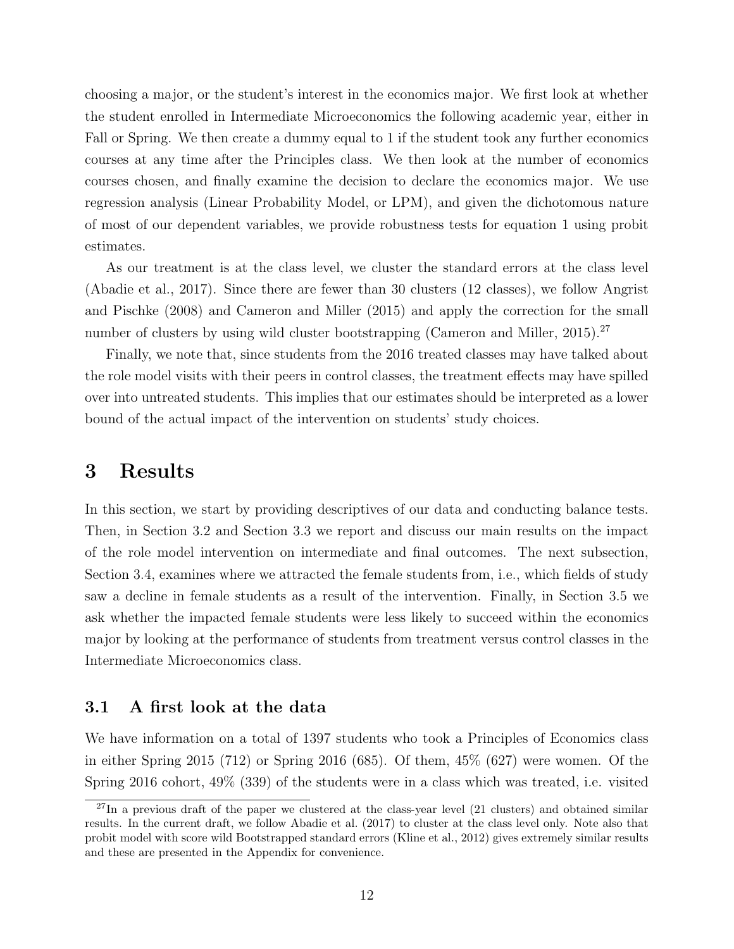choosing a major, or the student's interest in the economics major. We first look at whether the student enrolled in Intermediate Microeconomics the following academic year, either in Fall or Spring. We then create a dummy equal to 1 if the student took any further economics courses at any time after the Principles class. We then look at the number of economics courses chosen, and finally examine the decision to declare the economics major. We use regression analysis (Linear Probability Model, or LPM), and given the dichotomous nature of most of our dependent variables, we provide robustness tests for equation 1 using probit estimates.

As our treatment is at the class level, we cluster the standard errors at the class level (Abadie et al., 2017). Since there are fewer than 30 clusters (12 classes), we follow Angrist and Pischke (2008) and Cameron and Miller (2015) and apply the correction for the small number of clusters by using wild cluster bootstrapping (Cameron and Miller, 2015).<sup>27</sup>

Finally, we note that, since students from the 2016 treated classes may have talked about the role model visits with their peers in control classes, the treatment effects may have spilled over into untreated students. This implies that our estimates should be interpreted as a lower bound of the actual impact of the intervention on students' study choices.

### 3 Results

In this section, we start by providing descriptives of our data and conducting balance tests. Then, in Section 3.2 and Section 3.3 we report and discuss our main results on the impact of the role model intervention on intermediate and final outcomes. The next subsection, Section 3.4, examines where we attracted the female students from, i.e., which fields of study saw a decline in female students as a result of the intervention. Finally, in Section 3.5 we ask whether the impacted female students were less likely to succeed within the economics major by looking at the performance of students from treatment versus control classes in the Intermediate Microeconomics class.

#### 3.1 A first look at the data

We have information on a total of 1397 students who took a Principles of Economics class in either Spring 2015 (712) or Spring 2016 (685). Of them, 45% (627) were women. Of the Spring 2016 cohort, 49% (339) of the students were in a class which was treated, i.e. visited

 $^{27}$ In a previous draft of the paper we clustered at the class-year level (21 clusters) and obtained similar results. In the current draft, we follow Abadie et al. (2017) to cluster at the class level only. Note also that probit model with score wild Bootstrapped standard errors (Kline et al., 2012) gives extremely similar results and these are presented in the Appendix for convenience.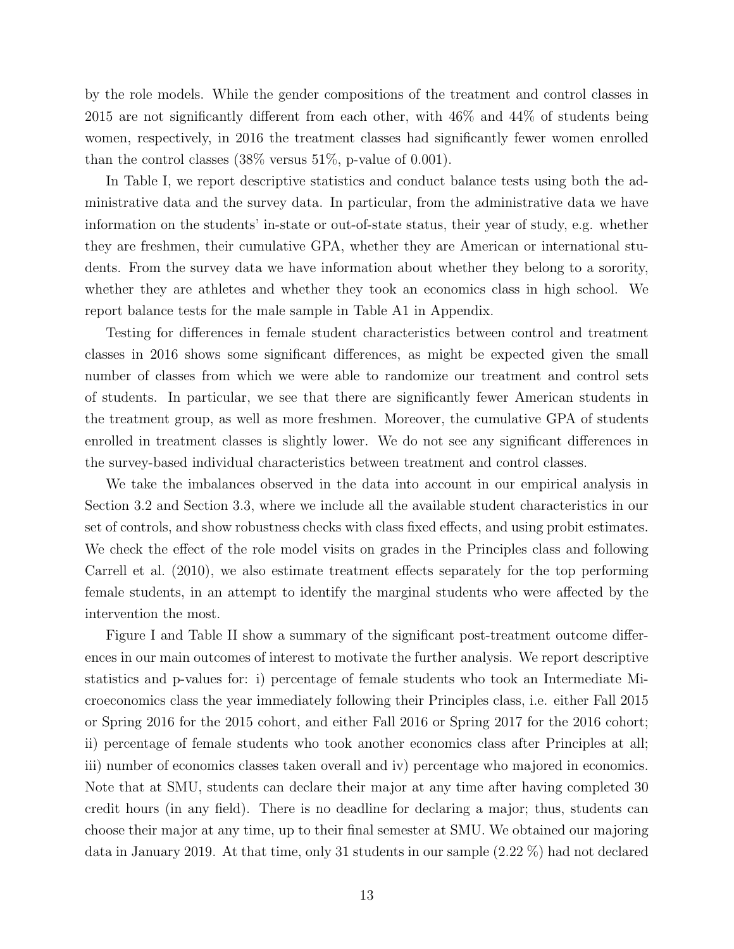by the role models. While the gender compositions of the treatment and control classes in 2015 are not significantly different from each other, with 46% and 44% of students being women, respectively, in 2016 the treatment classes had significantly fewer women enrolled than the control classes (38% versus 51%, p-value of 0.001).

In Table I, we report descriptive statistics and conduct balance tests using both the administrative data and the survey data. In particular, from the administrative data we have information on the students' in-state or out-of-state status, their year of study, e.g. whether they are freshmen, their cumulative GPA, whether they are American or international students. From the survey data we have information about whether they belong to a sorority, whether they are athletes and whether they took an economics class in high school. We report balance tests for the male sample in Table A1 in Appendix.

Testing for differences in female student characteristics between control and treatment classes in 2016 shows some significant differences, as might be expected given the small number of classes from which we were able to randomize our treatment and control sets of students. In particular, we see that there are significantly fewer American students in the treatment group, as well as more freshmen. Moreover, the cumulative GPA of students enrolled in treatment classes is slightly lower. We do not see any significant differences in the survey-based individual characteristics between treatment and control classes.

We take the imbalances observed in the data into account in our empirical analysis in Section 3.2 and Section 3.3, where we include all the available student characteristics in our set of controls, and show robustness checks with class fixed effects, and using probit estimates. We check the effect of the role model visits on grades in the Principles class and following Carrell et al. (2010), we also estimate treatment effects separately for the top performing female students, in an attempt to identify the marginal students who were affected by the intervention the most.

Figure I and Table II show a summary of the significant post-treatment outcome differences in our main outcomes of interest to motivate the further analysis. We report descriptive statistics and p-values for: i) percentage of female students who took an Intermediate Microeconomics class the year immediately following their Principles class, i.e. either Fall 2015 or Spring 2016 for the 2015 cohort, and either Fall 2016 or Spring 2017 for the 2016 cohort; ii) percentage of female students who took another economics class after Principles at all; iii) number of economics classes taken overall and iv) percentage who majored in economics. Note that at SMU, students can declare their major at any time after having completed 30 credit hours (in any field). There is no deadline for declaring a major; thus, students can choose their major at any time, up to their final semester at SMU. We obtained our majoring data in January 2019. At that time, only 31 students in our sample (2.22 %) had not declared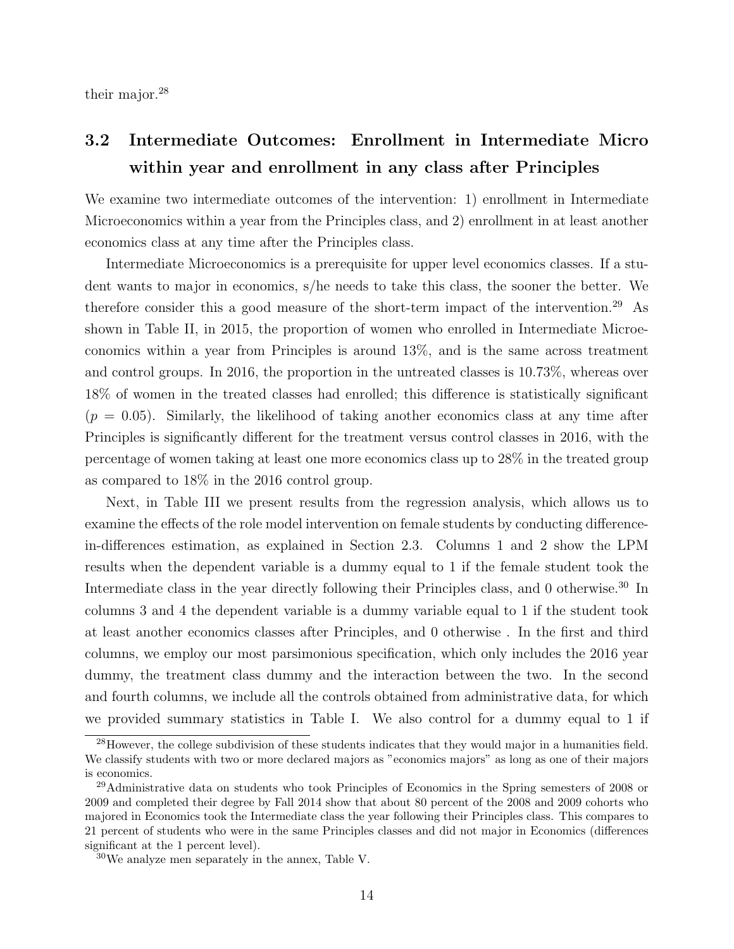their major.<sup>28</sup>

### 3.2 Intermediate Outcomes: Enrollment in Intermediate Micro within year and enrollment in any class after Principles

We examine two intermediate outcomes of the intervention: 1) enrollment in Intermediate Microeconomics within a year from the Principles class, and 2) enrollment in at least another economics class at any time after the Principles class.

Intermediate Microeconomics is a prerequisite for upper level economics classes. If a student wants to major in economics, s/he needs to take this class, the sooner the better. We therefore consider this a good measure of the short-term impact of the intervention.<sup>29</sup> As shown in Table II, in 2015, the proportion of women who enrolled in Intermediate Microeconomics within a year from Principles is around 13%, and is the same across treatment and control groups. In 2016, the proportion in the untreated classes is 10.73%, whereas over 18% of women in the treated classes had enrolled; this difference is statistically significant  $(p = 0.05)$ . Similarly, the likelihood of taking another economics class at any time after Principles is significantly different for the treatment versus control classes in 2016, with the percentage of women taking at least one more economics class up to 28% in the treated group as compared to 18% in the 2016 control group.

Next, in Table III we present results from the regression analysis, which allows us to examine the effects of the role model intervention on female students by conducting differencein-differences estimation, as explained in Section 2.3. Columns 1 and 2 show the LPM results when the dependent variable is a dummy equal to 1 if the female student took the Intermediate class in the year directly following their Principles class, and 0 otherwise.<sup>30</sup> In columns 3 and 4 the dependent variable is a dummy variable equal to 1 if the student took at least another economics classes after Principles, and 0 otherwise . In the first and third columns, we employ our most parsimonious specification, which only includes the 2016 year dummy, the treatment class dummy and the interaction between the two. In the second and fourth columns, we include all the controls obtained from administrative data, for which we provided summary statistics in Table I. We also control for a dummy equal to 1 if

<sup>&</sup>lt;sup>28</sup>However, the college subdivision of these students indicates that they would major in a humanities field. We classify students with two or more declared majors as "economics majors" as long as one of their majors is economics.

<sup>29</sup>Administrative data on students who took Principles of Economics in the Spring semesters of 2008 or 2009 and completed their degree by Fall 2014 show that about 80 percent of the 2008 and 2009 cohorts who majored in Economics took the Intermediate class the year following their Principles class. This compares to 21 percent of students who were in the same Principles classes and did not major in Economics (differences significant at the 1 percent level).

<sup>30</sup>We analyze men separately in the annex, Table V.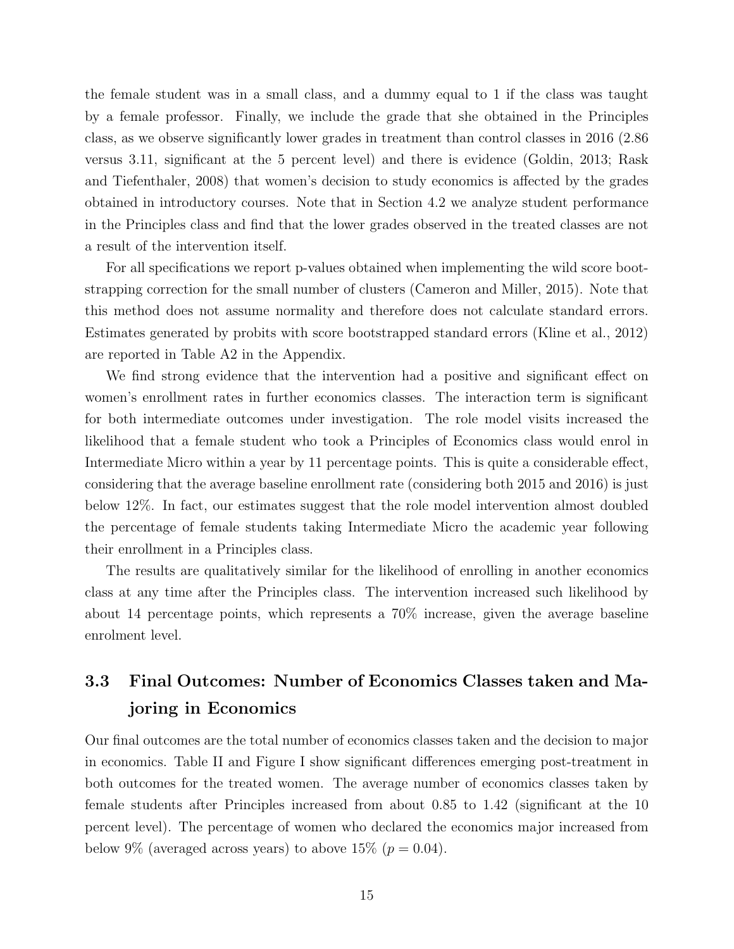the female student was in a small class, and a dummy equal to 1 if the class was taught by a female professor. Finally, we include the grade that she obtained in the Principles class, as we observe significantly lower grades in treatment than control classes in 2016 (2.86 versus 3.11, significant at the 5 percent level) and there is evidence (Goldin, 2013; Rask and Tiefenthaler, 2008) that women's decision to study economics is affected by the grades obtained in introductory courses. Note that in Section 4.2 we analyze student performance in the Principles class and find that the lower grades observed in the treated classes are not a result of the intervention itself.

For all specifications we report p-values obtained when implementing the wild score bootstrapping correction for the small number of clusters (Cameron and Miller, 2015). Note that this method does not assume normality and therefore does not calculate standard errors. Estimates generated by probits with score bootstrapped standard errors (Kline et al., 2012) are reported in Table A2 in the Appendix.

We find strong evidence that the intervention had a positive and significant effect on women's enrollment rates in further economics classes. The interaction term is significant for both intermediate outcomes under investigation. The role model visits increased the likelihood that a female student who took a Principles of Economics class would enrol in Intermediate Micro within a year by 11 percentage points. This is quite a considerable effect, considering that the average baseline enrollment rate (considering both 2015 and 2016) is just below 12%. In fact, our estimates suggest that the role model intervention almost doubled the percentage of female students taking Intermediate Micro the academic year following their enrollment in a Principles class.

The results are qualitatively similar for the likelihood of enrolling in another economics class at any time after the Principles class. The intervention increased such likelihood by about 14 percentage points, which represents a 70% increase, given the average baseline enrolment level.

### 3.3 Final Outcomes: Number of Economics Classes taken and Majoring in Economics

Our final outcomes are the total number of economics classes taken and the decision to major in economics. Table II and Figure I show significant differences emerging post-treatment in both outcomes for the treated women. The average number of economics classes taken by female students after Principles increased from about 0.85 to 1.42 (significant at the 10 percent level). The percentage of women who declared the economics major increased from below 9% (averaged across years) to above 15% ( $p = 0.04$ ).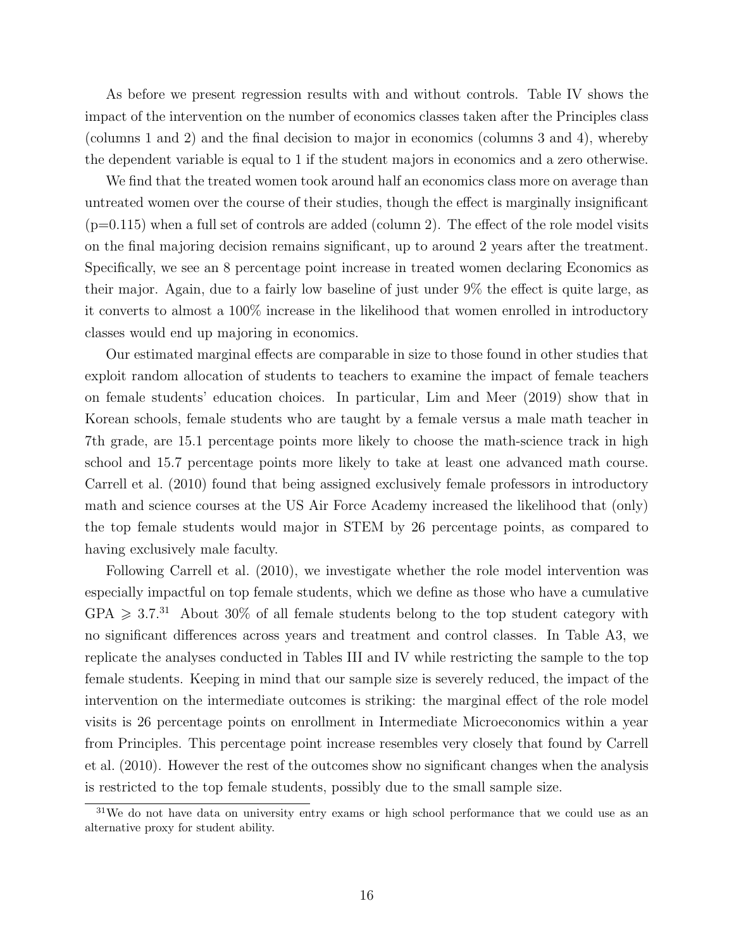As before we present regression results with and without controls. Table IV shows the impact of the intervention on the number of economics classes taken after the Principles class (columns 1 and 2) and the final decision to major in economics (columns 3 and 4), whereby the dependent variable is equal to 1 if the student majors in economics and a zero otherwise.

We find that the treated women took around half an economics class more on average than untreated women over the course of their studies, though the effect is marginally insignificant  $(p=0.115)$  when a full set of controls are added (column 2). The effect of the role model visits on the final majoring decision remains significant, up to around 2 years after the treatment. Specifically, we see an 8 percentage point increase in treated women declaring Economics as their major. Again, due to a fairly low baseline of just under 9% the effect is quite large, as it converts to almost a 100% increase in the likelihood that women enrolled in introductory classes would end up majoring in economics.

Our estimated marginal effects are comparable in size to those found in other studies that exploit random allocation of students to teachers to examine the impact of female teachers on female students' education choices. In particular, Lim and Meer (2019) show that in Korean schools, female students who are taught by a female versus a male math teacher in 7th grade, are 15.1 percentage points more likely to choose the math-science track in high school and 15.7 percentage points more likely to take at least one advanced math course. Carrell et al. (2010) found that being assigned exclusively female professors in introductory math and science courses at the US Air Force Academy increased the likelihood that (only) the top female students would major in STEM by 26 percentage points, as compared to having exclusively male faculty.

Following Carrell et al. (2010), we investigate whether the role model intervention was especially impactful on top female students, which we define as those who have a cumulative  $GPA \geq 3.7^{31}$  About 30% of all female students belong to the top student category with no significant differences across years and treatment and control classes. In Table A3, we replicate the analyses conducted in Tables III and IV while restricting the sample to the top female students. Keeping in mind that our sample size is severely reduced, the impact of the intervention on the intermediate outcomes is striking: the marginal effect of the role model visits is 26 percentage points on enrollment in Intermediate Microeconomics within a year from Principles. This percentage point increase resembles very closely that found by Carrell et al. (2010). However the rest of the outcomes show no significant changes when the analysis is restricted to the top female students, possibly due to the small sample size.

 $31$ We do not have data on university entry exams or high school performance that we could use as an alternative proxy for student ability.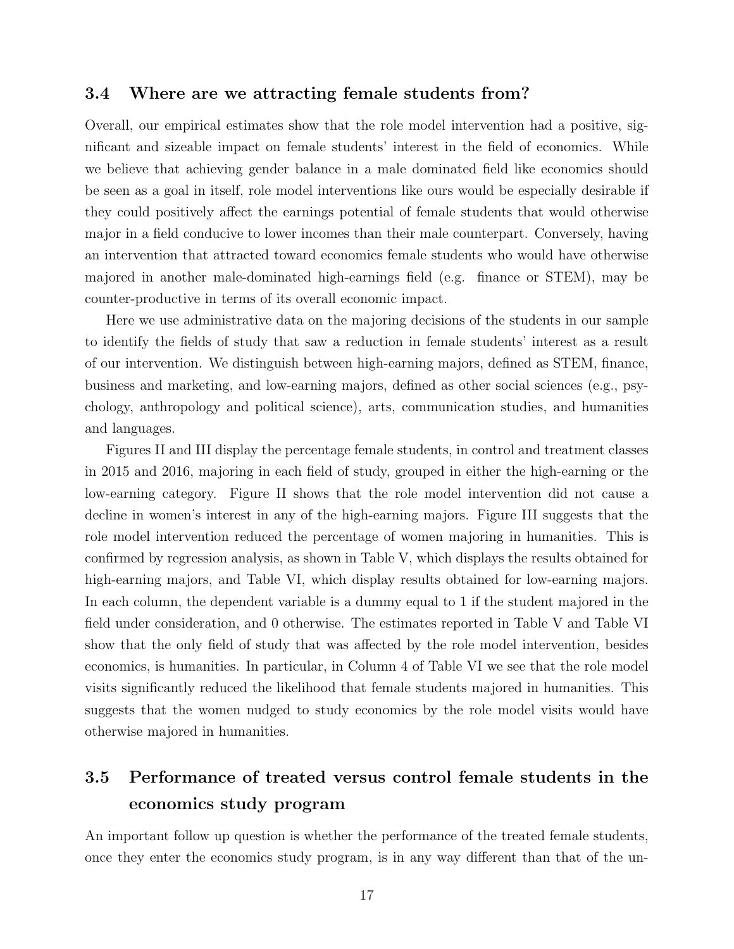#### 3.4 Where are we attracting female students from?

Overall, our empirical estimates show that the role model intervention had a positive, significant and sizeable impact on female students' interest in the field of economics. While we believe that achieving gender balance in a male dominated field like economics should be seen as a goal in itself, role model interventions like ours would be especially desirable if they could positively affect the earnings potential of female students that would otherwise major in a field conducive to lower incomes than their male counterpart. Conversely, having an intervention that attracted toward economics female students who would have otherwise majored in another male-dominated high-earnings field (e.g. finance or STEM), may be counter-productive in terms of its overall economic impact.

Here we use administrative data on the majoring decisions of the students in our sample to identify the fields of study that saw a reduction in female students' interest as a result of our intervention. We distinguish between high-earning majors, defined as STEM, finance, business and marketing, and low-earning majors, defined as other social sciences (e.g., psychology, anthropology and political science), arts, communication studies, and humanities and languages.

Figures II and III display the percentage female students, in control and treatment classes in 2015 and 2016, majoring in each field of study, grouped in either the high-earning or the low-earning category. Figure II shows that the role model intervention did not cause a decline in women's interest in any of the high-earning majors. Figure III suggests that the role model intervention reduced the percentage of women majoring in humanities. This is confirmed by regression analysis, as shown in Table V, which displays the results obtained for high-earning majors, and Table VI, which display results obtained for low-earning majors. In each column, the dependent variable is a dummy equal to 1 if the student majored in the field under consideration, and 0 otherwise. The estimates reported in Table V and Table VI show that the only field of study that was affected by the role model intervention, besides economics, is humanities. In particular, in Column 4 of Table VI we see that the role model visits significantly reduced the likelihood that female students majored in humanities. This suggests that the women nudged to study economics by the role model visits would have otherwise majored in humanities.

### 3.5 Performance of treated versus control female students in the economics study program

An important follow up question is whether the performance of the treated female students, once they enter the economics study program, is in any way different than that of the un-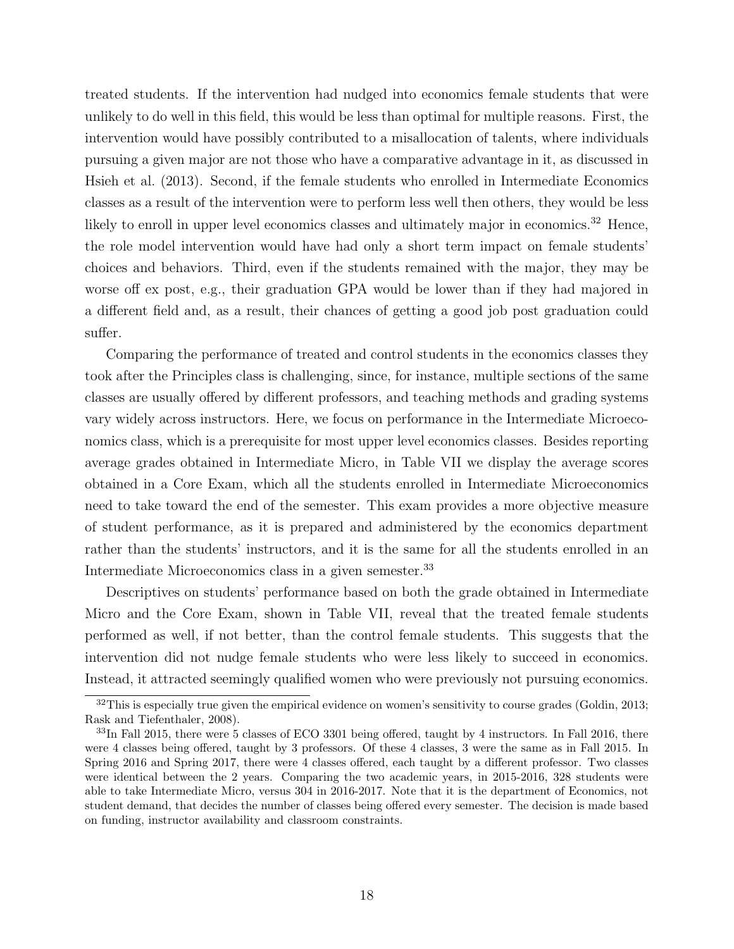treated students. If the intervention had nudged into economics female students that were unlikely to do well in this field, this would be less than optimal for multiple reasons. First, the intervention would have possibly contributed to a misallocation of talents, where individuals pursuing a given major are not those who have a comparative advantage in it, as discussed in Hsieh et al. (2013). Second, if the female students who enrolled in Intermediate Economics classes as a result of the intervention were to perform less well then others, they would be less likely to enroll in upper level economics classes and ultimately major in economics.<sup>32</sup> Hence, the role model intervention would have had only a short term impact on female students' choices and behaviors. Third, even if the students remained with the major, they may be worse off ex post, e.g., their graduation GPA would be lower than if they had majored in a different field and, as a result, their chances of getting a good job post graduation could suffer.

Comparing the performance of treated and control students in the economics classes they took after the Principles class is challenging, since, for instance, multiple sections of the same classes are usually offered by different professors, and teaching methods and grading systems vary widely across instructors. Here, we focus on performance in the Intermediate Microeconomics class, which is a prerequisite for most upper level economics classes. Besides reporting average grades obtained in Intermediate Micro, in Table VII we display the average scores obtained in a Core Exam, which all the students enrolled in Intermediate Microeconomics need to take toward the end of the semester. This exam provides a more objective measure of student performance, as it is prepared and administered by the economics department rather than the students' instructors, and it is the same for all the students enrolled in an Intermediate Microeconomics class in a given semester.<sup>33</sup>

Descriptives on students' performance based on both the grade obtained in Intermediate Micro and the Core Exam, shown in Table VII, reveal that the treated female students performed as well, if not better, than the control female students. This suggests that the intervention did not nudge female students who were less likely to succeed in economics. Instead, it attracted seemingly qualified women who were previously not pursuing economics.

 $32$ This is especially true given the empirical evidence on women's sensitivity to course grades (Goldin, 2013; Rask and Tiefenthaler, 2008).

<sup>&</sup>lt;sup>33</sup>In Fall 2015, there were 5 classes of ECO 3301 being offered, taught by 4 instructors. In Fall 2016, there were 4 classes being offered, taught by 3 professors. Of these 4 classes, 3 were the same as in Fall 2015. In Spring 2016 and Spring 2017, there were 4 classes offered, each taught by a different professor. Two classes were identical between the 2 years. Comparing the two academic years, in 2015-2016, 328 students were able to take Intermediate Micro, versus 304 in 2016-2017. Note that it is the department of Economics, not student demand, that decides the number of classes being offered every semester. The decision is made based on funding, instructor availability and classroom constraints.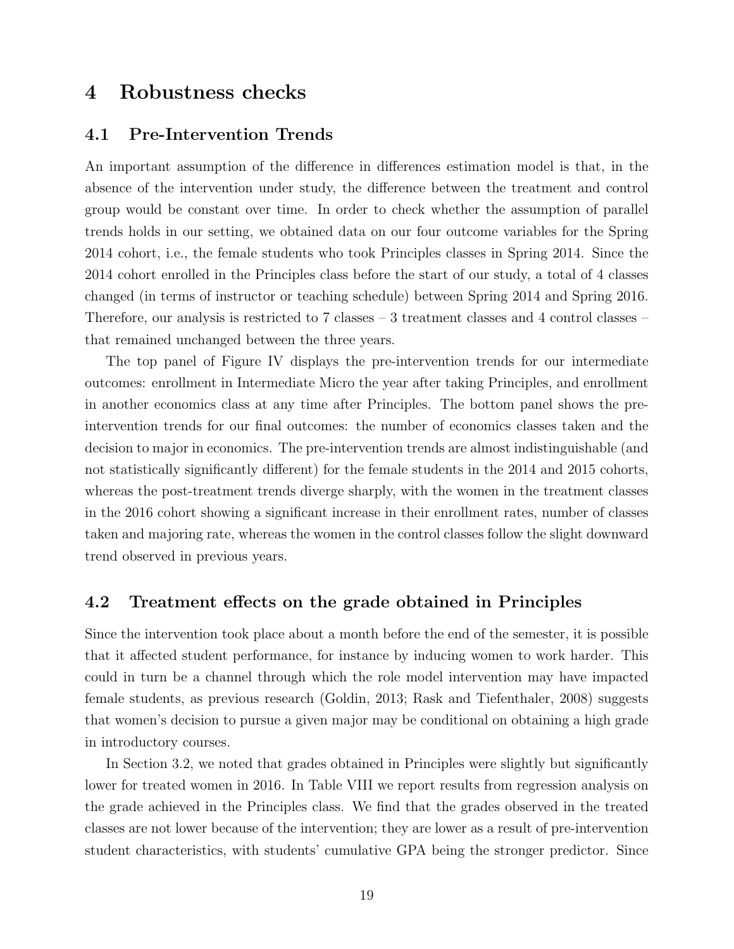### 4 Robustness checks

#### 4.1 Pre-Intervention Trends

An important assumption of the difference in differences estimation model is that, in the absence of the intervention under study, the difference between the treatment and control group would be constant over time. In order to check whether the assumption of parallel trends holds in our setting, we obtained data on our four outcome variables for the Spring 2014 cohort, i.e., the female students who took Principles classes in Spring 2014. Since the 2014 cohort enrolled in the Principles class before the start of our study, a total of 4 classes changed (in terms of instructor or teaching schedule) between Spring 2014 and Spring 2016. Therefore, our analysis is restricted to 7 classes – 3 treatment classes and 4 control classes – that remained unchanged between the three years.

The top panel of Figure IV displays the pre-intervention trends for our intermediate outcomes: enrollment in Intermediate Micro the year after taking Principles, and enrollment in another economics class at any time after Principles. The bottom panel shows the preintervention trends for our final outcomes: the number of economics classes taken and the decision to major in economics. The pre-intervention trends are almost indistinguishable (and not statistically significantly different) for the female students in the 2014 and 2015 cohorts, whereas the post-treatment trends diverge sharply, with the women in the treatment classes in the 2016 cohort showing a significant increase in their enrollment rates, number of classes taken and majoring rate, whereas the women in the control classes follow the slight downward trend observed in previous years.

#### 4.2 Treatment effects on the grade obtained in Principles

Since the intervention took place about a month before the end of the semester, it is possible that it affected student performance, for instance by inducing women to work harder. This could in turn be a channel through which the role model intervention may have impacted female students, as previous research (Goldin, 2013; Rask and Tiefenthaler, 2008) suggests that women's decision to pursue a given major may be conditional on obtaining a high grade in introductory courses.

In Section 3.2, we noted that grades obtained in Principles were slightly but significantly lower for treated women in 2016. In Table VIII we report results from regression analysis on the grade achieved in the Principles class. We find that the grades observed in the treated classes are not lower because of the intervention; they are lower as a result of pre-intervention student characteristics, with students' cumulative GPA being the stronger predictor. Since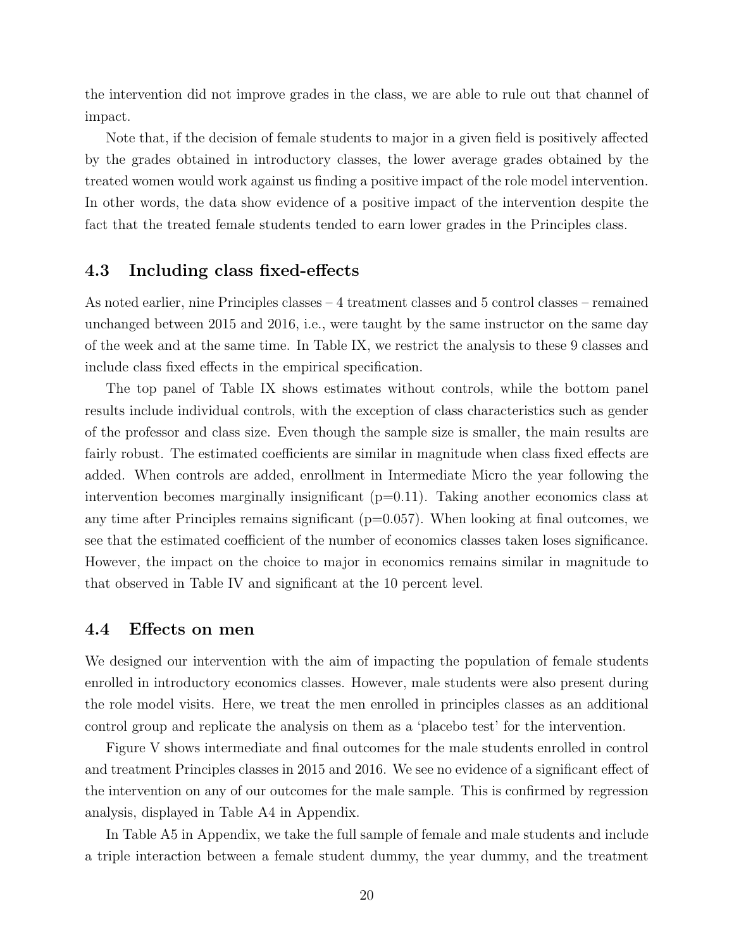the intervention did not improve grades in the class, we are able to rule out that channel of impact.

Note that, if the decision of female students to major in a given field is positively affected by the grades obtained in introductory classes, the lower average grades obtained by the treated women would work against us finding a positive impact of the role model intervention. In other words, the data show evidence of a positive impact of the intervention despite the fact that the treated female students tended to earn lower grades in the Principles class.

#### 4.3 Including class fixed-effects

As noted earlier, nine Principles classes – 4 treatment classes and 5 control classes – remained unchanged between 2015 and 2016, i.e., were taught by the same instructor on the same day of the week and at the same time. In Table IX, we restrict the analysis to these 9 classes and include class fixed effects in the empirical specification.

The top panel of Table IX shows estimates without controls, while the bottom panel results include individual controls, with the exception of class characteristics such as gender of the professor and class size. Even though the sample size is smaller, the main results are fairly robust. The estimated coefficients are similar in magnitude when class fixed effects are added. When controls are added, enrollment in Intermediate Micro the year following the intervention becomes marginally insignificant  $(p=0.11)$ . Taking another economics class at any time after Principles remains significant  $(p=0.057)$ . When looking at final outcomes, we see that the estimated coefficient of the number of economics classes taken loses significance. However, the impact on the choice to major in economics remains similar in magnitude to that observed in Table IV and significant at the 10 percent level.

#### 4.4 Effects on men

We designed our intervention with the aim of impacting the population of female students enrolled in introductory economics classes. However, male students were also present during the role model visits. Here, we treat the men enrolled in principles classes as an additional control group and replicate the analysis on them as a 'placebo test' for the intervention.

Figure V shows intermediate and final outcomes for the male students enrolled in control and treatment Principles classes in 2015 and 2016. We see no evidence of a significant effect of the intervention on any of our outcomes for the male sample. This is confirmed by regression analysis, displayed in Table A4 in Appendix.

In Table A5 in Appendix, we take the full sample of female and male students and include a triple interaction between a female student dummy, the year dummy, and the treatment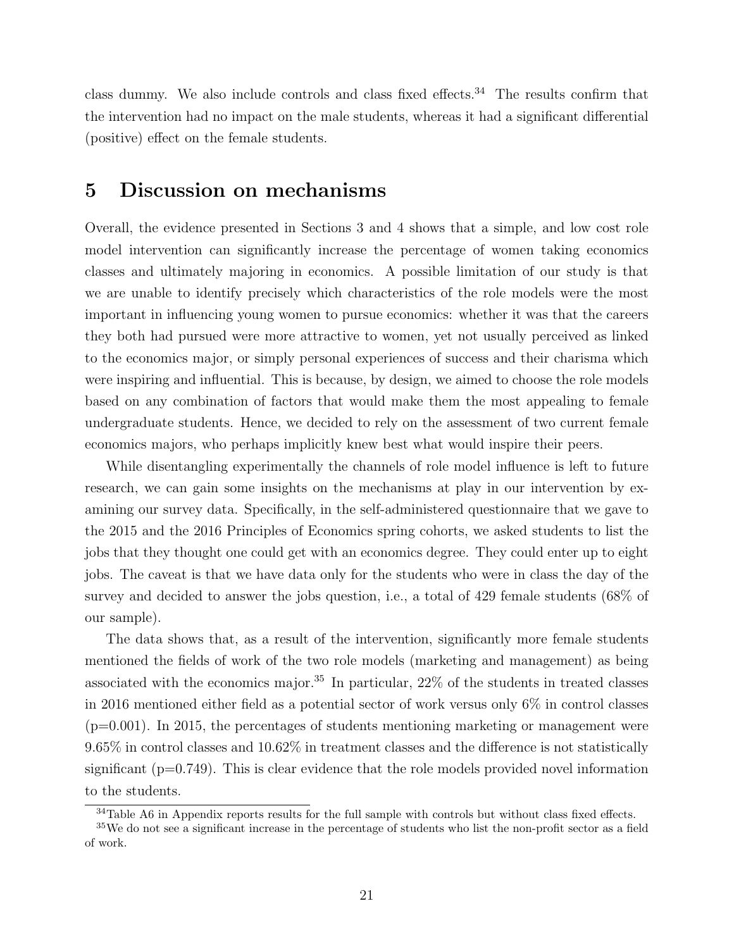class dummy. We also include controls and class fixed effects.<sup>34</sup> The results confirm that the intervention had no impact on the male students, whereas it had a significant differential (positive) effect on the female students.

### 5 Discussion on mechanisms

Overall, the evidence presented in Sections 3 and 4 shows that a simple, and low cost role model intervention can significantly increase the percentage of women taking economics classes and ultimately majoring in economics. A possible limitation of our study is that we are unable to identify precisely which characteristics of the role models were the most important in influencing young women to pursue economics: whether it was that the careers they both had pursued were more attractive to women, yet not usually perceived as linked to the economics major, or simply personal experiences of success and their charisma which were inspiring and influential. This is because, by design, we aimed to choose the role models based on any combination of factors that would make them the most appealing to female undergraduate students. Hence, we decided to rely on the assessment of two current female economics majors, who perhaps implicitly knew best what would inspire their peers.

While disentangling experimentally the channels of role model influence is left to future research, we can gain some insights on the mechanisms at play in our intervention by examining our survey data. Specifically, in the self-administered questionnaire that we gave to the 2015 and the 2016 Principles of Economics spring cohorts, we asked students to list the jobs that they thought one could get with an economics degree. They could enter up to eight jobs. The caveat is that we have data only for the students who were in class the day of the survey and decided to answer the jobs question, i.e., a total of 429 female students (68% of our sample).

The data shows that, as a result of the intervention, significantly more female students mentioned the fields of work of the two role models (marketing and management) as being associated with the economics major.<sup>35</sup> In particular,  $22\%$  of the students in treated classes in 2016 mentioned either field as a potential sector of work versus only 6% in control classes  $(p=0.001)$ . In 2015, the percentages of students mentioning marketing or management were 9.65% in control classes and 10.62% in treatment classes and the difference is not statistically significant  $(p=0.749)$ . This is clear evidence that the role models provided novel information to the students.

<sup>&</sup>lt;sup>34</sup>Table A6 in Appendix reports results for the full sample with controls but without class fixed effects.

<sup>&</sup>lt;sup>35</sup>We do not see a significant increase in the percentage of students who list the non-profit sector as a field of work.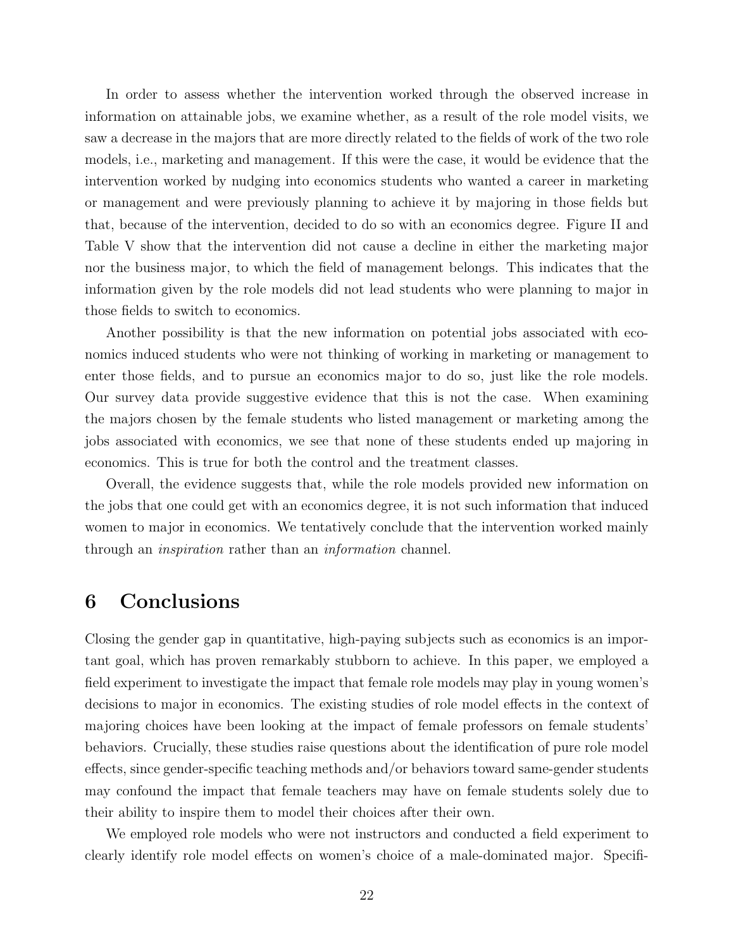In order to assess whether the intervention worked through the observed increase in information on attainable jobs, we examine whether, as a result of the role model visits, we saw a decrease in the majors that are more directly related to the fields of work of the two role models, i.e., marketing and management. If this were the case, it would be evidence that the intervention worked by nudging into economics students who wanted a career in marketing or management and were previously planning to achieve it by majoring in those fields but that, because of the intervention, decided to do so with an economics degree. Figure II and Table V show that the intervention did not cause a decline in either the marketing major nor the business major, to which the field of management belongs. This indicates that the information given by the role models did not lead students who were planning to major in those fields to switch to economics.

Another possibility is that the new information on potential jobs associated with economics induced students who were not thinking of working in marketing or management to enter those fields, and to pursue an economics major to do so, just like the role models. Our survey data provide suggestive evidence that this is not the case. When examining the majors chosen by the female students who listed management or marketing among the jobs associated with economics, we see that none of these students ended up majoring in economics. This is true for both the control and the treatment classes.

Overall, the evidence suggests that, while the role models provided new information on the jobs that one could get with an economics degree, it is not such information that induced women to major in economics. We tentatively conclude that the intervention worked mainly through an inspiration rather than an information channel.

### 6 Conclusions

Closing the gender gap in quantitative, high-paying subjects such as economics is an important goal, which has proven remarkably stubborn to achieve. In this paper, we employed a field experiment to investigate the impact that female role models may play in young women's decisions to major in economics. The existing studies of role model effects in the context of majoring choices have been looking at the impact of female professors on female students' behaviors. Crucially, these studies raise questions about the identification of pure role model effects, since gender-specific teaching methods and/or behaviors toward same-gender students may confound the impact that female teachers may have on female students solely due to their ability to inspire them to model their choices after their own.

We employed role models who were not instructors and conducted a field experiment to clearly identify role model effects on women's choice of a male-dominated major. Specifi-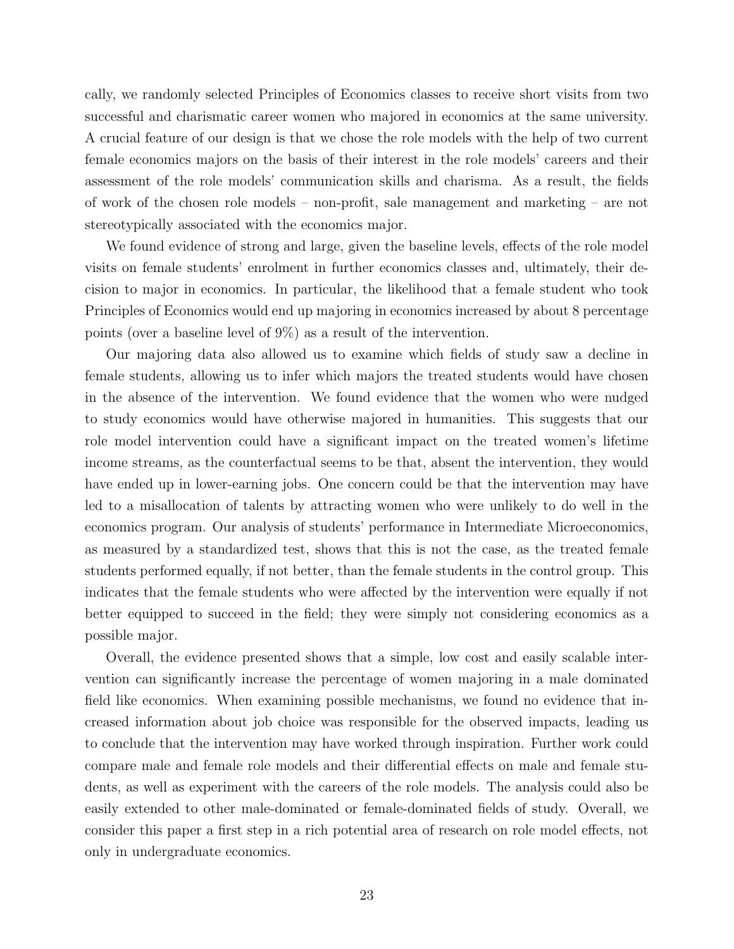cally, we randomly selected Principles of Economics classes to receive short visits from two successful and charismatic career women who majored in economics at the same university. A crucial feature of our design is that we chose the role models with the help of two current female economics majors on the basis of their interest in the role models' careers and their assessment of the role models' communication skills and charisma. As a result, the fields of work of the chosen role models – non-profit, sale management and marketing – are not stereotypically associated with the economics major.

We found evidence of strong and large, given the baseline levels, effects of the role model visits on female students' enrolment in further economics classes and, ultimately, their decision to major in economics. In particular, the likelihood that a female student who took Principles of Economics would end up majoring in economics increased by about 8 percentage points (over a baseline level of 9%) as a result of the intervention.

Our majoring data also allowed us to examine which fields of study saw a decline in female students, allowing us to infer which majors the treated students would have chosen in the absence of the intervention. We found evidence that the women who were nudged to study economics would have otherwise majored in humanities. This suggests that our role model intervention could have a significant impact on the treated women's lifetime income streams, as the counterfactual seems to be that, absent the intervention, they would have ended up in lower-earning jobs. One concern could be that the intervention may have led to a misallocation of talents by attracting women who were unlikely to do well in the economics program. Our analysis of students' performance in Intermediate Microeconomics, as measured by a standardized test, shows that this is not the case, as the treated female students performed equally, if not better, than the female students in the control group. This indicates that the female students who were affected by the intervention were equally if not better equipped to succeed in the field; they were simply not considering economics as a possible major.

Overall, the evidence presented shows that a simple, low cost and easily scalable intervention can significantly increase the percentage of women majoring in a male dominated field like economics. When examining possible mechanisms, we found no evidence that increased information about job choice was responsible for the observed impacts, leading us to conclude that the intervention may have worked through inspiration. Further work could compare male and female role models and their differential effects on male and female students, as well as experiment with the careers of the role models. The analysis could also be easily extended to other male-dominated or female-dominated fields of study. Overall, we consider this paper a first step in a rich potential area of research on role model effects, not only in undergraduate economics.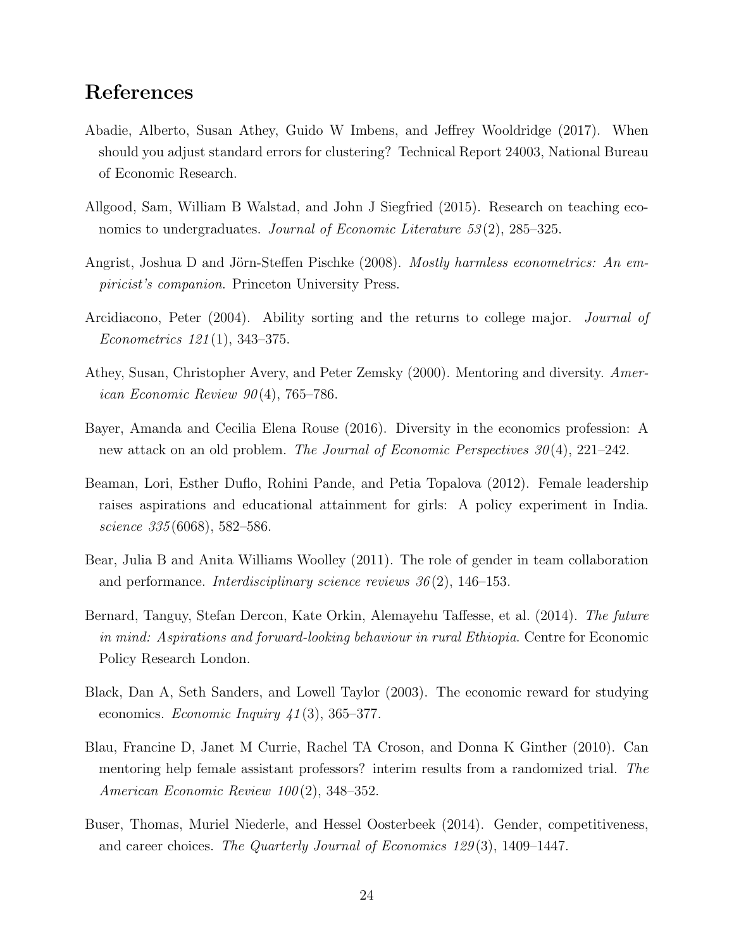### References

- Abadie, Alberto, Susan Athey, Guido W Imbens, and Jeffrey Wooldridge (2017). When should you adjust standard errors for clustering? Technical Report 24003, National Bureau of Economic Research.
- Allgood, Sam, William B Walstad, and John J Siegfried (2015). Research on teaching economics to undergraduates. Journal of Economic Literature 53(2), 285–325.
- Angrist, Joshua D and Jörn-Steffen Pischke (2008). Mostly harmless econometrics: An empiricist's companion. Princeton University Press.
- Arcidiacono, Peter (2004). Ability sorting and the returns to college major. Journal of Econometrics 121 (1), 343–375.
- Athey, Susan, Christopher Avery, and Peter Zemsky (2000). Mentoring and diversity. American Economic Review  $90(4)$ , 765–786.
- Bayer, Amanda and Cecilia Elena Rouse (2016). Diversity in the economics profession: A new attack on an old problem. The Journal of Economic Perspectives  $30(4)$ , 221–242.
- Beaman, Lori, Esther Duflo, Rohini Pande, and Petia Topalova (2012). Female leadership raises aspirations and educational attainment for girls: A policy experiment in India. science 335 (6068), 582–586.
- Bear, Julia B and Anita Williams Woolley (2011). The role of gender in team collaboration and performance. Interdisciplinary science reviews  $36(2)$ , 146–153.
- Bernard, Tanguy, Stefan Dercon, Kate Orkin, Alemayehu Taffesse, et al. (2014). The future in mind: Aspirations and forward-looking behaviour in rural Ethiopia. Centre for Economic Policy Research London.
- Black, Dan A, Seth Sanders, and Lowell Taylor (2003). The economic reward for studying economics. *Economic Inquiry 41*(3), 365–377.
- Blau, Francine D, Janet M Currie, Rachel TA Croson, and Donna K Ginther (2010). Can mentoring help female assistant professors? interim results from a randomized trial. The American Economic Review  $100(2)$ , 348-352.
- Buser, Thomas, Muriel Niederle, and Hessel Oosterbeek (2014). Gender, competitiveness, and career choices. The Quarterly Journal of Economics 129 (3), 1409–1447.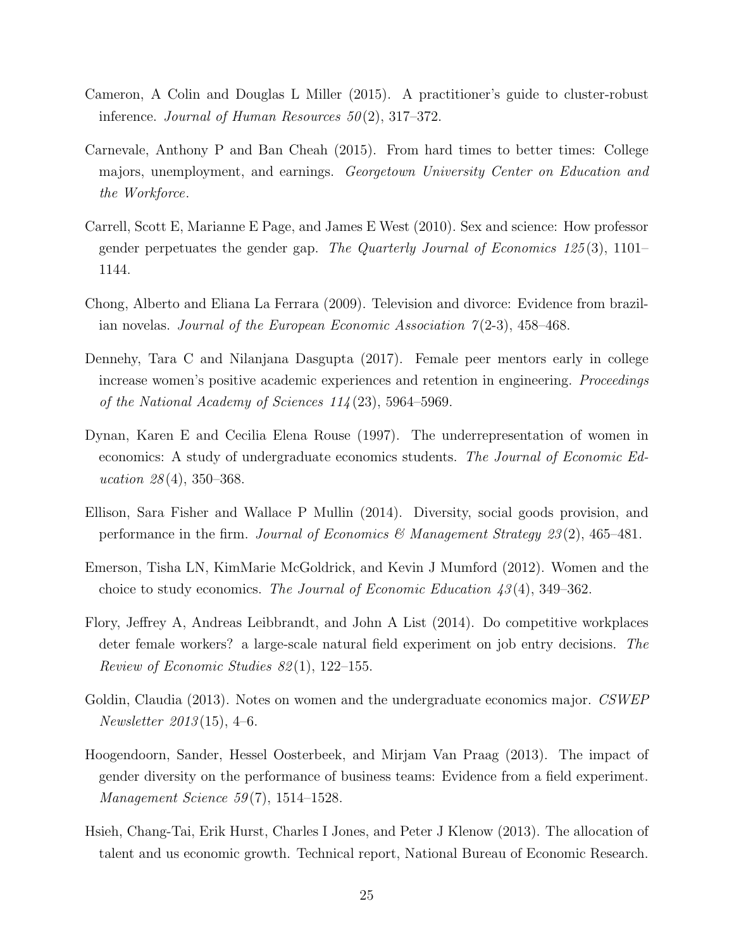- Cameron, A Colin and Douglas L Miller (2015). A practitioner's guide to cluster-robust inference. Journal of Human Resources  $50(2)$ , 317–372.
- Carnevale, Anthony P and Ban Cheah (2015). From hard times to better times: College majors, unemployment, and earnings. Georgetown University Center on Education and the Workforce.
- Carrell, Scott E, Marianne E Page, and James E West (2010). Sex and science: How professor gender perpetuates the gender gap. The Quarterly Journal of Economics  $125(3)$ ,  $1101-$ 1144.
- Chong, Alberto and Eliana La Ferrara (2009). Television and divorce: Evidence from brazilian novelas. Journal of the European Economic Association  $7(2-3)$ , 458–468.
- Dennehy, Tara C and Nilanjana Dasgupta (2017). Female peer mentors early in college increase women's positive academic experiences and retention in engineering. Proceedings of the National Academy of Sciences  $114(23)$ , 5964–5969.
- Dynan, Karen E and Cecilia Elena Rouse (1997). The underrepresentation of women in economics: A study of undergraduate economics students. The Journal of Economic Education  $28(4)$ , 350–368.
- Ellison, Sara Fisher and Wallace P Mullin (2014). Diversity, social goods provision, and performance in the firm. Journal of Economics & Management Strategy  $23(2)$ , 465–481.
- Emerson, Tisha LN, KimMarie McGoldrick, and Kevin J Mumford (2012). Women and the choice to study economics. The Journal of Economic Education  $43(4)$ , 349–362.
- Flory, Jeffrey A, Andreas Leibbrandt, and John A List (2014). Do competitive workplaces deter female workers? a large-scale natural field experiment on job entry decisions. The Review of Economic Studies  $82(1)$ , 122–155.
- Goldin, Claudia (2013). Notes on women and the undergraduate economics major. CSWEP *Newsletter* 2013(15), 4–6.
- Hoogendoorn, Sander, Hessel Oosterbeek, and Mirjam Van Praag (2013). The impact of gender diversity on the performance of business teams: Evidence from a field experiment. Management Science  $59(7)$ , 1514–1528.
- Hsieh, Chang-Tai, Erik Hurst, Charles I Jones, and Peter J Klenow (2013). The allocation of talent and us economic growth. Technical report, National Bureau of Economic Research.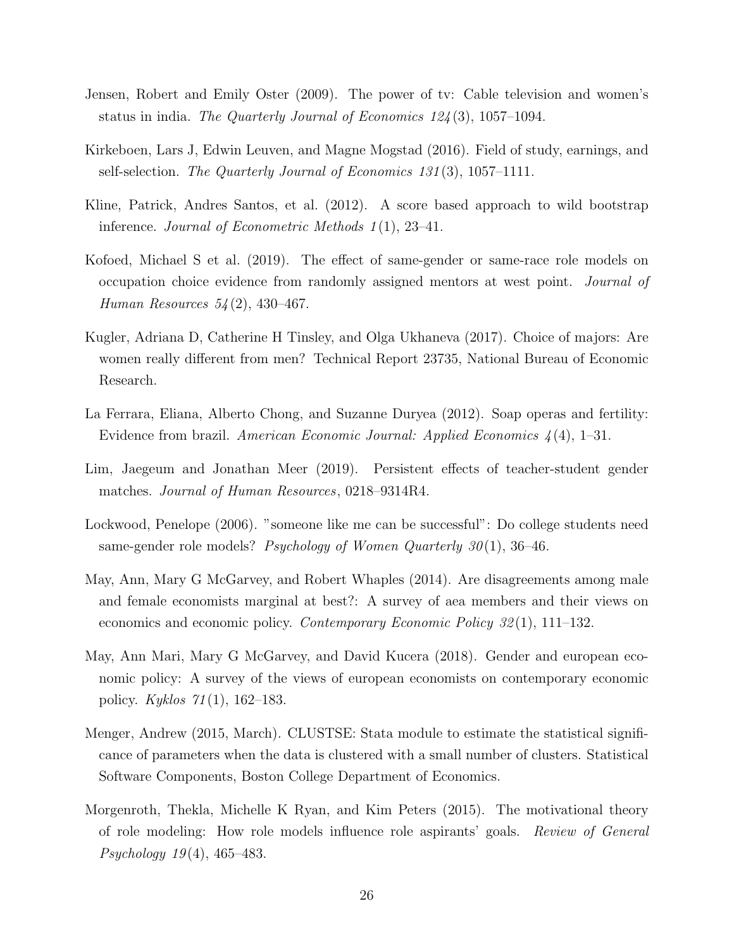- Jensen, Robert and Emily Oster (2009). The power of tv: Cable television and women's status in india. The Quarterly Journal of Economics  $124(3)$ , 1057–1094.
- Kirkeboen, Lars J, Edwin Leuven, and Magne Mogstad (2016). Field of study, earnings, and self-selection. The Quarterly Journal of Economics 131 (3), 1057–1111.
- Kline, Patrick, Andres Santos, et al. (2012). A score based approach to wild bootstrap inference. Journal of Econometric Methods 1 (1), 23–41.
- Kofoed, Michael S et al. (2019). The effect of same-gender or same-race role models on occupation choice evidence from randomly assigned mentors at west point. Journal of Human Resources 54 (2), 430–467.
- Kugler, Adriana D, Catherine H Tinsley, and Olga Ukhaneva (2017). Choice of majors: Are women really different from men? Technical Report 23735, National Bureau of Economic Research.
- La Ferrara, Eliana, Alberto Chong, and Suzanne Duryea (2012). Soap operas and fertility: Evidence from brazil. American Economic Journal: Applied Economics  $\chi(4)$ , 1–31.
- Lim, Jaegeum and Jonathan Meer (2019). Persistent effects of teacher-student gender matches. Journal of Human Resources, 0218–9314R4.
- Lockwood, Penelope (2006). "someone like me can be successful": Do college students need same-gender role models? Psychology of Women Quarterly  $30(1)$ , 36–46.
- May, Ann, Mary G McGarvey, and Robert Whaples (2014). Are disagreements among male and female economists marginal at best?: A survey of aea members and their views on economics and economic policy. Contemporary Economic Policy 32 (1), 111–132.
- May, Ann Mari, Mary G McGarvey, and David Kucera (2018). Gender and european economic policy: A survey of the views of european economists on contemporary economic policy. Kyklos  $71(1)$ , 162–183.
- Menger, Andrew (2015, March). CLUSTSE: Stata module to estimate the statistical significance of parameters when the data is clustered with a small number of clusters. Statistical Software Components, Boston College Department of Economics.
- Morgenroth, Thekla, Michelle K Ryan, and Kim Peters (2015). The motivational theory of role modeling: How role models influence role aspirants' goals. Review of General Psychology 19 (4), 465–483.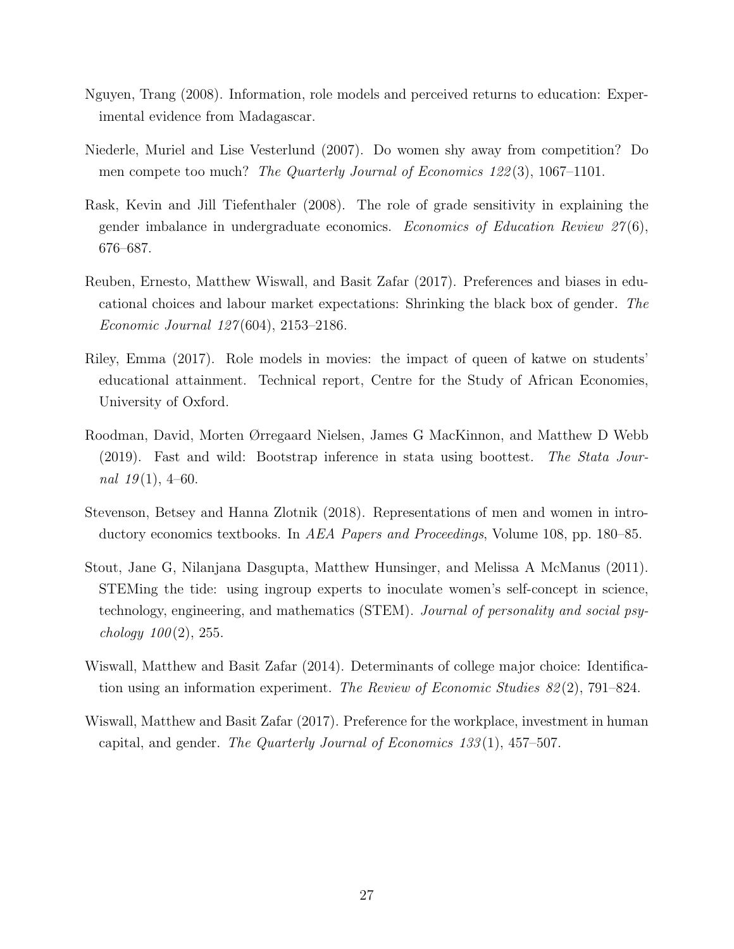- Nguyen, Trang (2008). Information, role models and perceived returns to education: Experimental evidence from Madagascar.
- Niederle, Muriel and Lise Vesterlund (2007). Do women shy away from competition? Do men compete too much? The Quarterly Journal of Economics 122(3), 1067-1101.
- Rask, Kevin and Jill Tiefenthaler (2008). The role of grade sensitivity in explaining the gender imbalance in undergraduate economics. Economics of Education Review  $27(6)$ , 676–687.
- Reuben, Ernesto, Matthew Wiswall, and Basit Zafar (2017). Preferences and biases in educational choices and labour market expectations: Shrinking the black box of gender. The Economic Journal 127 (604), 2153–2186.
- Riley, Emma (2017). Role models in movies: the impact of queen of katwe on students' educational attainment. Technical report, Centre for the Study of African Economies, University of Oxford.
- Roodman, David, Morten Ørregaard Nielsen, James G MacKinnon, and Matthew D Webb (2019). Fast and wild: Bootstrap inference in stata using boottest. The Stata Journal  $19(1)$ , 4–60.
- Stevenson, Betsey and Hanna Zlotnik (2018). Representations of men and women in introductory economics textbooks. In AEA Papers and Proceedings, Volume 108, pp. 180–85.
- Stout, Jane G, Nilanjana Dasgupta, Matthew Hunsinger, and Melissa A McManus (2011). STEMing the tide: using ingroup experts to inoculate women's self-concept in science, technology, engineering, and mathematics (STEM). Journal of personality and social psy*chology*  $100(2)$ , 255.
- Wiswall, Matthew and Basit Zafar (2014). Determinants of college major choice: Identification using an information experiment. The Review of Economic Studies  $82(2)$ , 791–824.
- Wiswall, Matthew and Basit Zafar (2017). Preference for the workplace, investment in human capital, and gender. The Quarterly Journal of Economics  $133(1)$ ,  $457-507$ .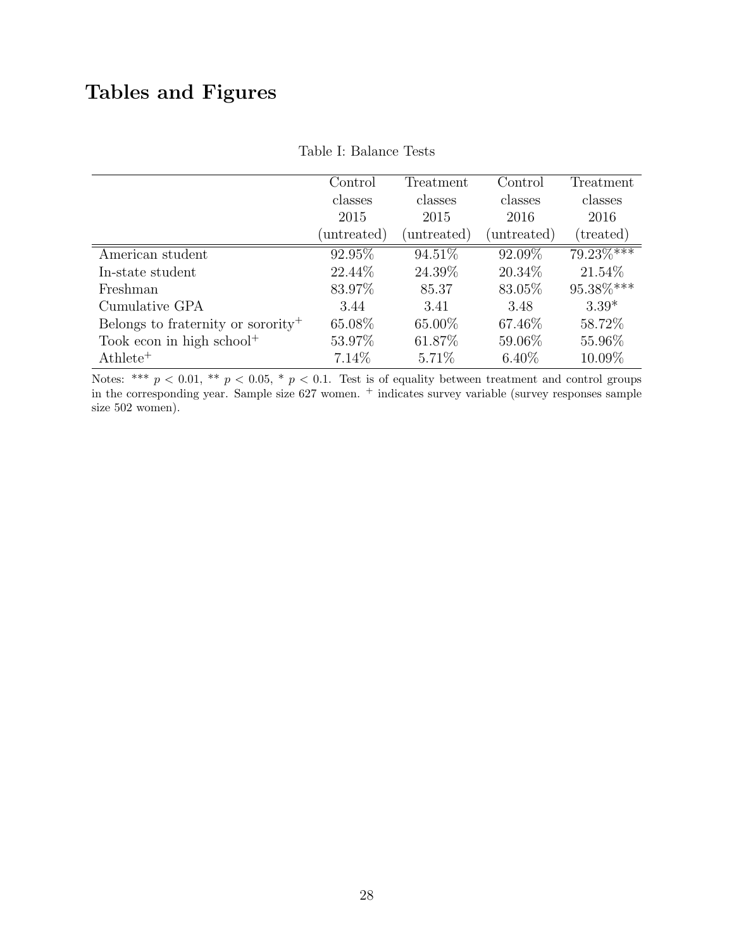# Tables and Figures

|                                                | $\operatorname{Control}$ | Treatment   | Control     | Treatment       |
|------------------------------------------------|--------------------------|-------------|-------------|-----------------|
|                                                | classes                  | classes     | classes     | classes         |
|                                                | 2015                     | 2015        | 2016        | 2016            |
|                                                | (untreated)              | (untreated) | (untreated) | (treated)       |
| American student                               | 92.95%                   | 94.51%      | 92.09%      | 79.23%***       |
| In-state student                               | 22.44\%                  | 24.39%      | 20.34\%     | 21.54\%         |
| Freshman                                       | 83.97%                   | 85.37       | 83.05%      | $95.38\%^{***}$ |
| Cumulative GPA                                 | 3.44                     | 3.41        | 3.48        | $3.39*$         |
| Belongs to fraternity or sorority <sup>+</sup> | 65.08%                   | 65.00%      | 67.46\%     | 58.72%          |
| Took econ in high school <sup>+</sup>          | 53.97%                   | 61.87%      | 59.06%      | 55.96%          |
| $\mathrm{Athlete}^+$                           | 7.14\%                   | $5.71\%$    | $6.40\%$    | 10.09%          |

#### Table I: Balance Tests

Notes: \*\*\*  $p < 0.01$ , \*\*  $p < 0.05$ , \*  $p < 0.1$ . Test is of equality between treatment and control groups in the corresponding year. Sample size 627 women. <sup>+</sup> indicates survey variable (survey responses sample size 502 women).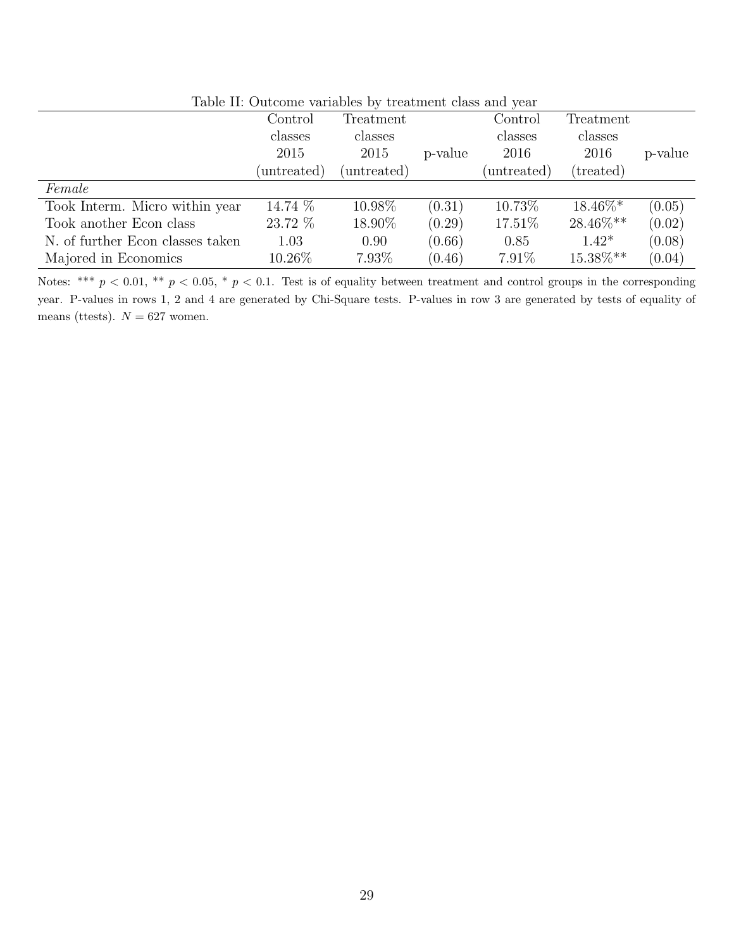| Table II: Outcome variables by treatment class and year |             |             |         |             |                    |         |  |
|---------------------------------------------------------|-------------|-------------|---------|-------------|--------------------|---------|--|
|                                                         | Control     | Treatment   |         | Control     | Treatment          |         |  |
|                                                         | classes     | classes     |         | classes     | classes            |         |  |
|                                                         | 2015        | 2015        | p-value | 2016        | 2016               | p-value |  |
|                                                         | (untreated) | (untreated) |         | (untreated) | $(\text{treated})$ |         |  |
| Female                                                  |             |             |         |             |                    |         |  |
| Took Interm. Micro within year                          | 14.74 %     | 10.98%      | (0.31)  | 10.73%      | $18.46\%*$         | (0.05)  |  |
| Took another Econ class                                 | 23.72 %     | 18.90%      | (0.29)  | 17.51\%     | 28.46%**           | (0.02)  |  |
| N. of further Econ classes taken                        | 1.03        | 0.90        | (0.66)  | 0.85        | $1.42*$            | (0.08)  |  |
| Majored in Economics                                    | $10.26\%$   | 7.93%       | (0.46)  | $7.91\%$    | 15.38%**           | (0.04)  |  |

Table II: Outcome variables by treatment class and year

Notes: \*\*\*  $p < 0.01$ , \*\*  $p < 0.05$ , \*  $p < 0.1$ . Test is of equality between treatment and control groups in the corresponding year. P-values in rows 1, 2 and 4 are generated by Chi-Square tests. P-values in row 3 are generated by tests of equality of means (ttests).  $N = 627$  women.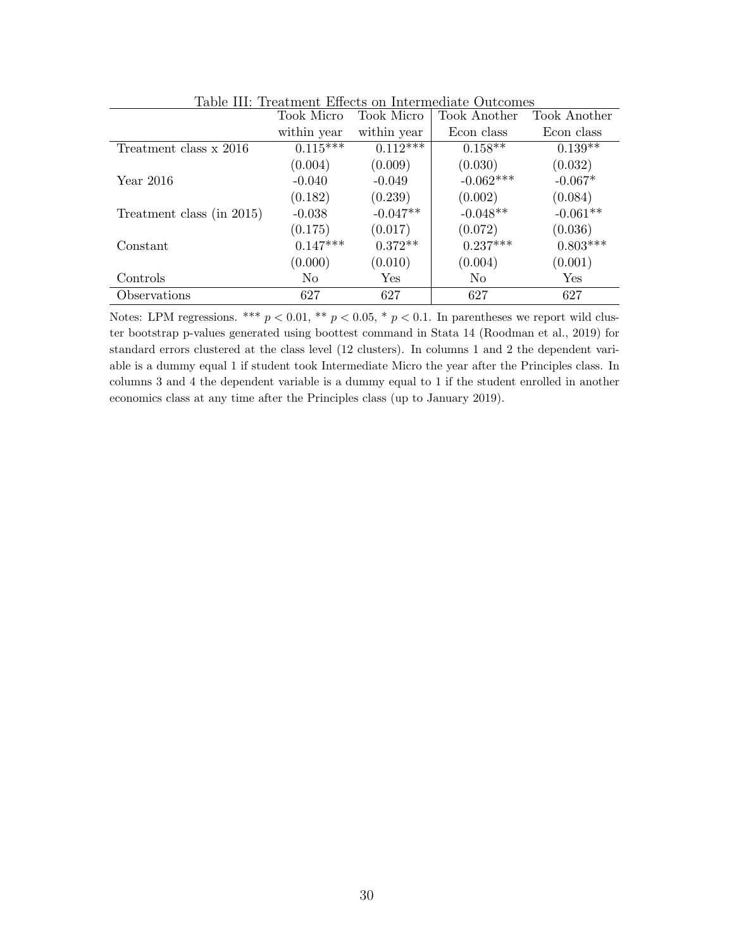|                           | Took Micro     | Took Micro  | Took Another   | Took Another |
|---------------------------|----------------|-------------|----------------|--------------|
|                           | within year    | within year | Econ class     | Econ class   |
| Treatment class x 2016    | $0.115***$     | $0.112***$  | $0.158**$      | $0.139**$    |
|                           | (0.004)        | (0.009)     | (0.030)        | (0.032)      |
| Year 2016                 | $-0.040$       | $-0.049$    | $-0.062***$    | $-0.067*$    |
|                           | (0.182)        | (0.239)     | (0.002)        | (0.084)      |
| Treatment class (in 2015) | $-0.038$       | $-0.047**$  | $-0.048**$     | $-0.061**$   |
|                           | (0.175)        | (0.017)     | (0.072)        | (0.036)      |
| Constant                  | $0.147***$     | $0.372**$   | $0.237***$     | $0.803***$   |
|                           | (0.000)        | (0.010)     | (0.004)        | (0.001)      |
| Controls                  | N <sub>0</sub> | Yes         | N <sub>0</sub> | Yes          |
| Observations              | 627            | 627         | 627            | 627          |

Table III: Treatment Effects on Intermediate Outcomes

Notes: LPM regressions. \*\*\*  $p < 0.01$ , \*\*  $p < 0.05$ , \*  $p < 0.1$ . In parentheses we report wild cluster bootstrap p-values generated using boottest command in Stata 14 (Roodman et al., 2019) for standard errors clustered at the class level (12 clusters). In columns 1 and 2 the dependent variable is a dummy equal 1 if student took Intermediate Micro the year after the Principles class. In columns 3 and 4 the dependent variable is a dummy equal to 1 if the student enrolled in another economics class at any time after the Principles class (up to January 2019).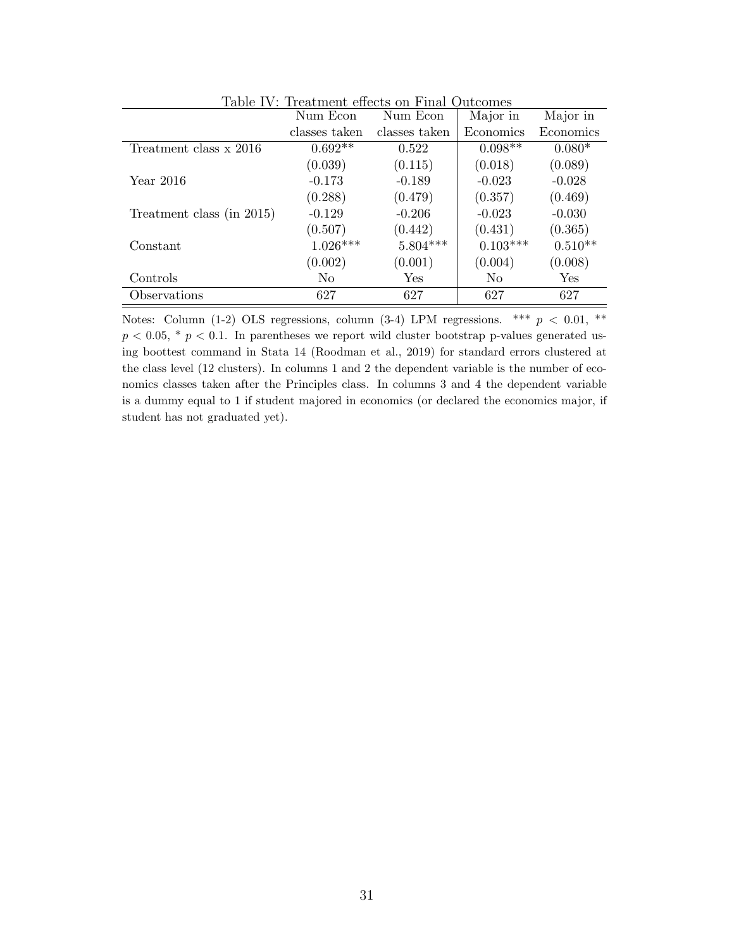|                           | Num Econ      | таріс ту, тгеадійсні енеса он глійг отасоніся<br>Num Econ | Major in   | Major in  |
|---------------------------|---------------|-----------------------------------------------------------|------------|-----------|
|                           | classes taken | classes taken                                             | Economics  | Economics |
| Treatment class x 2016    | $0.692**$     | 0.522                                                     | $0.098**$  | $0.080*$  |
|                           | (0.039)       | (0.115)                                                   | (0.018)    | (0.089)   |
| Year 2016                 | $-0.173$      | $-0.189$                                                  | $-0.023$   | $-0.028$  |
|                           | (0.288)       | (0.479)                                                   | (0.357)    | (0.469)   |
| Treatment class (in 2015) | $-0.129$      | $-0.206$                                                  | $-0.023$   | $-0.030$  |
|                           | (0.507)       | (0.442)                                                   | (0.431)    | (0.365)   |
| Constant                  | $1.026***$    | $5.804***$                                                | $0.103***$ | $0.510**$ |
|                           | (0.002)       | (0.001)                                                   | (0.004)    | (0.008)   |
| Controls                  | No            | Yes                                                       | No         | Yes       |
| Observations              | 627           | 627                                                       | 627        | 627       |

Table IV: Treatment effects on Final Outcomes

Notes: Column (1-2) OLS regressions, column (3-4) LPM regressions. \*\*\*  $p < 0.01$ , \*\*  $p < 0.05$ , \*  $p < 0.1$ . In parentheses we report wild cluster bootstrap p-values generated using boottest command in Stata 14 (Roodman et al., 2019) for standard errors clustered at the class level (12 clusters). In columns 1 and 2 the dependent variable is the number of economics classes taken after the Principles class. In columns 3 and 4 the dependent variable is a dummy equal to 1 if student majored in economics (or declared the economics major, if student has not graduated yet).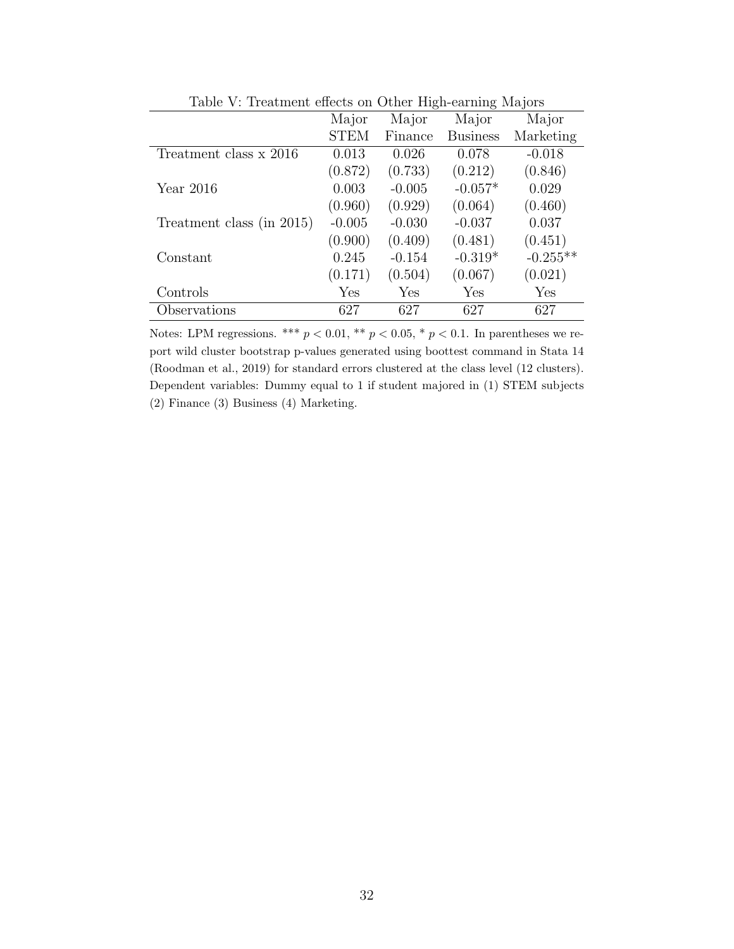| TOOIC V. ITCOUNTCHU CHUCUS ON OUNCE THEN CONTINUE MICHOLS |             |          |                      |            |  |
|-----------------------------------------------------------|-------------|----------|----------------------|------------|--|
|                                                           | Major       | Major    | Major                | Major      |  |
|                                                           | <b>STEM</b> | Finance  | <b>Business</b>      | Marketing  |  |
| Treatment class x 2016                                    | 0.013       | 0.026    | 0.078                | $-0.018$   |  |
|                                                           | (0.872)     | (0.733)  | (0.212)              | (0.846)    |  |
| Year $2016$                                               | 0.003       | $-0.005$ | $-0.057*$            | 0.029      |  |
|                                                           | (0.960)     | (0.929)  | (0.064)              | (0.460)    |  |
| Treatment class (in 2015)                                 | $-0.005$    | $-0.030$ | $-0.037$             | 0.037      |  |
|                                                           | (0.900)     | (0.409)  | (0.481)              | (0.451)    |  |
| Constant                                                  | 0.245       | $-0.154$ | $-0.319*$            | $-0.255**$ |  |
|                                                           | (0.171)     | (0.504)  | (0.067)              | (0.021)    |  |
| Controls                                                  | Yes         | Yes      | $\operatorname{Yes}$ | Yes        |  |
| Observations                                              | 627         | 627      | 627                  | 627        |  |

Table V: Treatment effects on Other High-earning Majors

Notes: LPM regressions. \*\*\*  $p < 0.01$ , \*\*  $p < 0.05$ , \*  $p < 0.1$ . In parentheses we report wild cluster bootstrap p-values generated using boottest command in Stata 14 (Roodman et al., 2019) for standard errors clustered at the class level (12 clusters). Dependent variables: Dummy equal to 1 if student majored in (1) STEM subjects (2) Finance (3) Business (4) Marketing.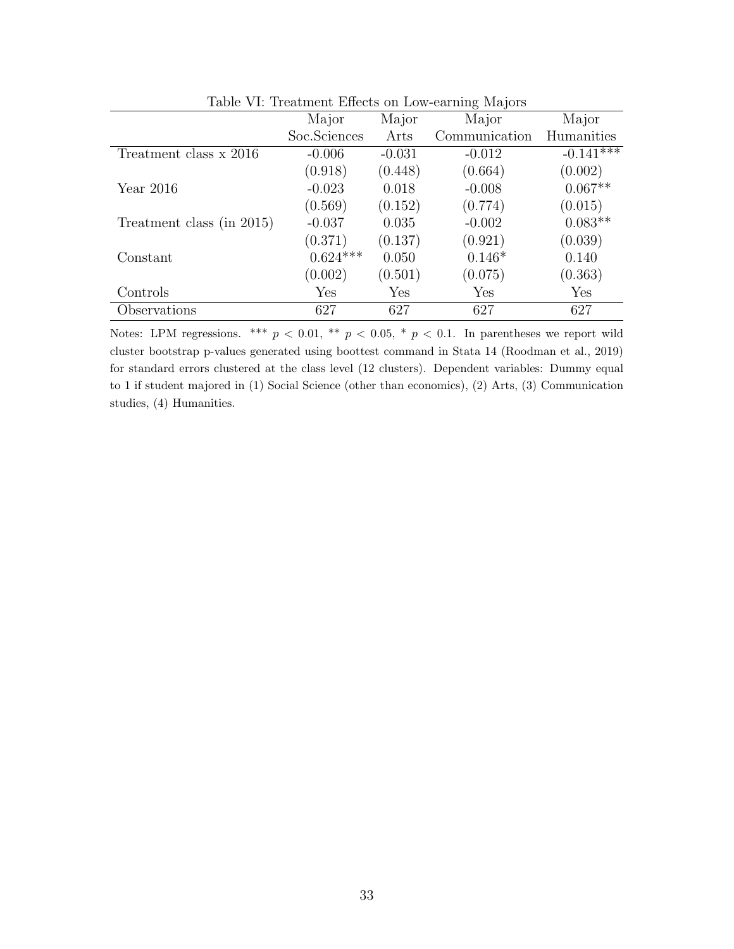| Table vi. Ileadhacht Eileech on How carming mayord |              |          |               |             |  |  |
|----------------------------------------------------|--------------|----------|---------------|-------------|--|--|
|                                                    | Major        | Major    | Major         | Major       |  |  |
|                                                    | Soc.Sciences | Arts     | Communication | Humanities  |  |  |
| Treatment class x 2016                             | $-0.006$     | $-0.031$ | $-0.012$      | $-0.141***$ |  |  |
|                                                    | (0.918)      | (0.448)  | (0.664)       | (0.002)     |  |  |
| Year $2016$                                        | $-0.023$     | 0.018    | $-0.008$      | $0.067**$   |  |  |
|                                                    | (0.569)      | (0.152)  | (0.774)       | (0.015)     |  |  |
| Treatment class (in 2015)                          | $-0.037$     | 0.035    | $-0.002$      | $0.083**$   |  |  |
|                                                    | (0.371)      | (0.137)  | (0.921)       | (0.039)     |  |  |
| Constant                                           | $0.624***$   | 0.050    | $0.146*$      | 0.140       |  |  |
|                                                    | (0.002)      | (0.501)  | (0.075)       | (0.363)     |  |  |
| Controls                                           | Yes          | Yes      | Yes           | Yes         |  |  |
| Observations                                       | 627          | 627      | 627           | 627         |  |  |

Table VI: Treatment Effects on Low-earning Majors

Notes: LPM regressions. \*\*\*  $p < 0.01$ , \*\*  $p < 0.05$ , \*  $p < 0.1$ . In parentheses we report wild cluster bootstrap p-values generated using boottest command in Stata 14 (Roodman et al., 2019) for standard errors clustered at the class level (12 clusters). Dependent variables: Dummy equal to 1 if student majored in (1) Social Science (other than economics), (2) Arts, (3) Communication studies, (4) Humanities.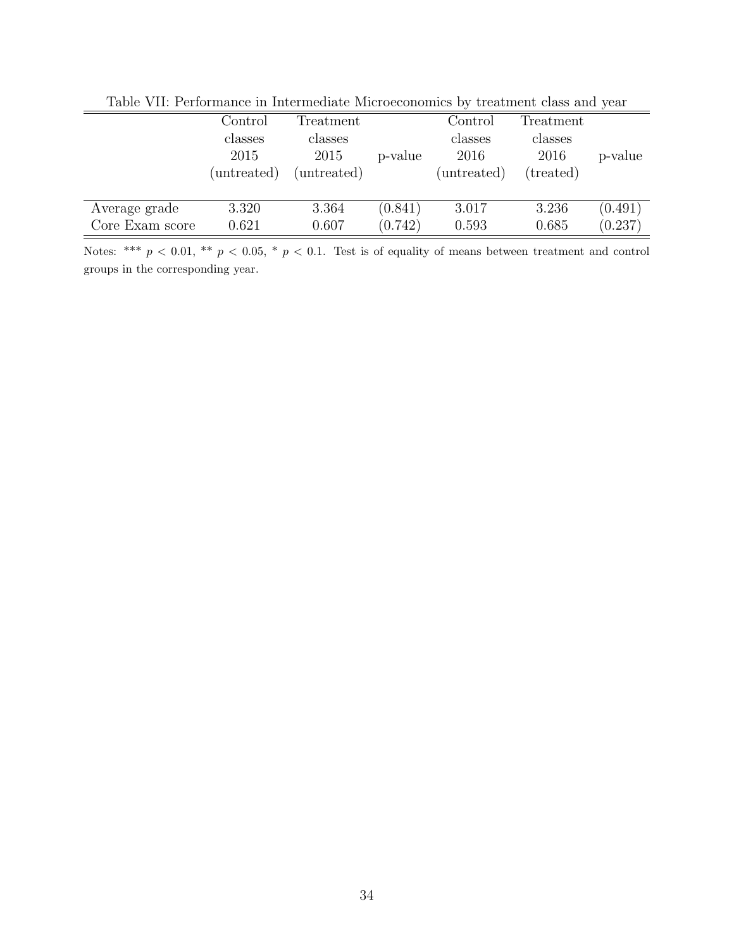|                 | $\operatorname{Control}$<br>classes<br>2015<br>(untreated) | Treatment<br>classes<br>2015<br>(untreated) | p-value | Control<br>classes<br>2016<br>(untreated) | Treatment<br>classes<br>2016<br>(treated) | p-value |
|-----------------|------------------------------------------------------------|---------------------------------------------|---------|-------------------------------------------|-------------------------------------------|---------|
| Average grade   | 3.320                                                      | 3.364                                       | (0.841) | 3.017                                     | 3.236                                     | (0.491) |
| Core Exam score | 0.621                                                      | 0.607                                       | (0.742) | 0.593                                     | 0.685                                     | (0.237) |

Table VII: Performance in Intermediate Microeconomics by treatment class and year

Notes: \*\*\*  $p < 0.01$ , \*\*  $p < 0.05$ , \*  $p < 0.1$ . Test is of equality of means between treatment and control groups in the corresponding year.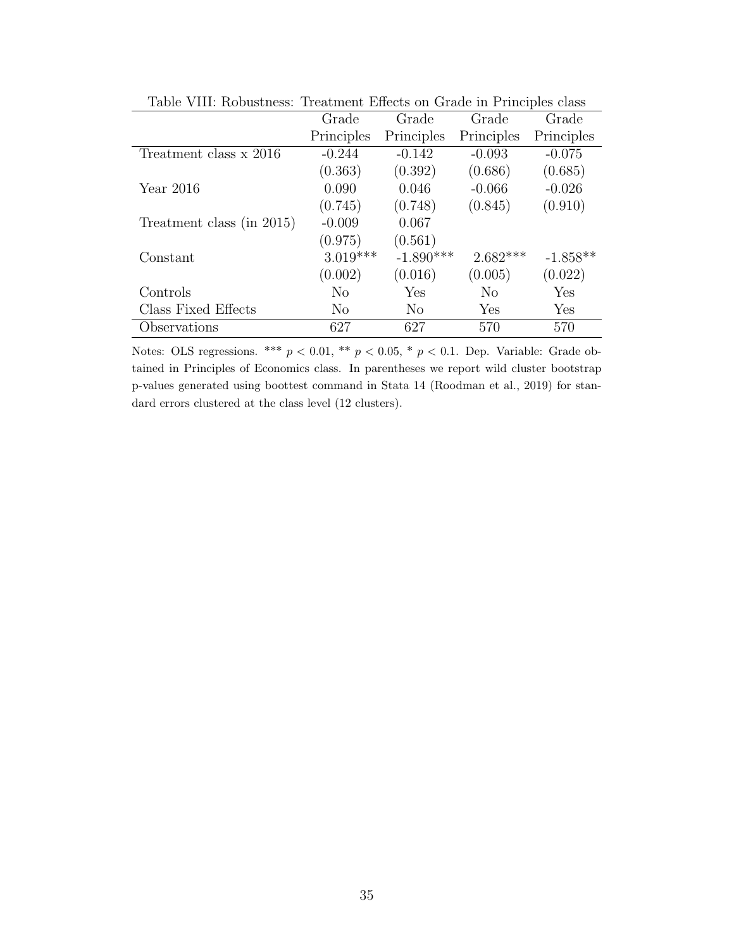| rapic viii. robabaitoob.  | Troughtone Encoup on Grade in Francipios cluss |             |            |            |  |  |
|---------------------------|------------------------------------------------|-------------|------------|------------|--|--|
|                           | Grade                                          | Grade       | Grade      | Grade      |  |  |
|                           | Principles                                     | Principles  | Principles | Principles |  |  |
| Treatment class x 2016    | $-0.244$                                       | $-0.142$    | $-0.093$   | $-0.075$   |  |  |
|                           | (0.363)                                        | (0.392)     | (0.686)    | (0.685)    |  |  |
| Year $2016$               | 0.090                                          | 0.046       | $-0.066$   | $-0.026$   |  |  |
|                           | (0.745)                                        | (0.748)     | (0.845)    | (0.910)    |  |  |
| Treatment class (in 2015) | $-0.009$                                       | 0.067       |            |            |  |  |
|                           | (0.975)                                        | (0.561)     |            |            |  |  |
| Constant                  | $3.019***$                                     | $-1.890***$ | $2.682***$ | $-1.858**$ |  |  |
|                           | (0.002)                                        | (0.016)     | (0.005)    | (0.022)    |  |  |
| Controls                  | N <sub>o</sub>                                 | Yes         | $\rm No$   | Yes        |  |  |
| Class Fixed Effects       | No.                                            | No.         | Yes        | Yes        |  |  |
| Observations              | 627                                            | 627         | 570        | 570        |  |  |

Table VIII: Robustness: Treatment Effects on Grade in Principles class

Notes: OLS regressions. \*\*\*  $p < 0.01$ , \*\*  $p < 0.05$ , \*  $p < 0.1$ . Dep. Variable: Grade obtained in Principles of Economics class. In parentheses we report wild cluster bootstrap p-values generated using boottest command in Stata 14 (Roodman et al., 2019) for standard errors clustered at the class level (12 clusters).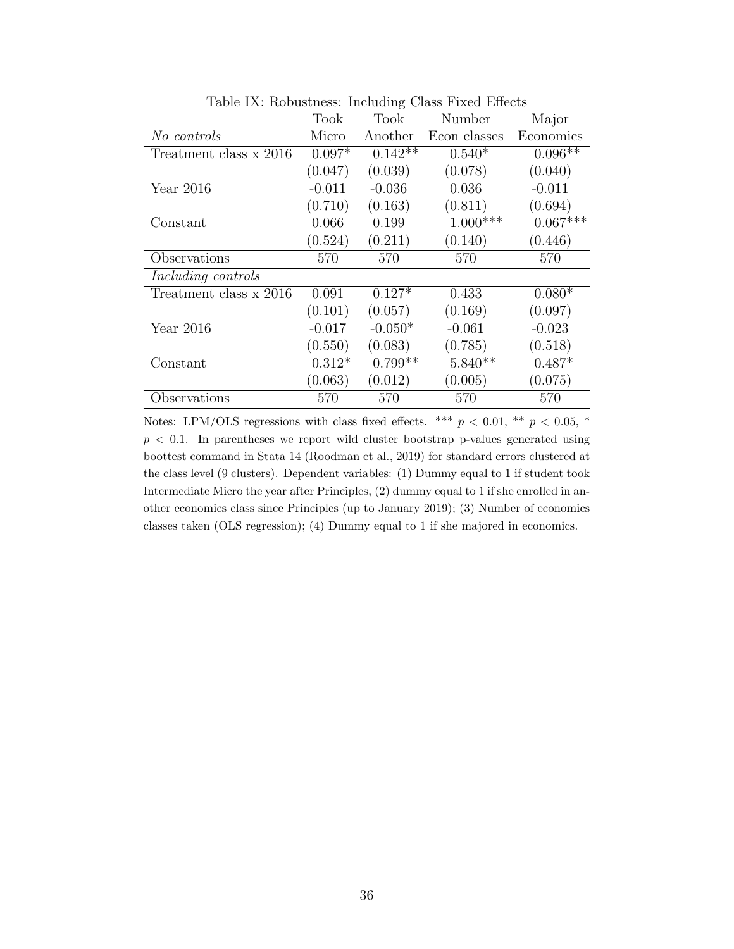|                        | Took     | Took      | Number       | Major      |
|------------------------|----------|-----------|--------------|------------|
| No controls            | Micro    | Another   | Econ classes | Economics  |
| Treatment class x 2016 | $0.097*$ | $0.142**$ | $0.540*$     | $0.096**$  |
|                        | (0.047)  | (0.039)   | (0.078)      | (0.040)    |
| Year $2016$            | $-0.011$ | $-0.036$  | 0.036        | $-0.011$   |
|                        | (0.710)  | (0.163)   | (0.811)      | (0.694)    |
| Constant               | 0.066    | 0.199     | $1.000***$   | $0.067***$ |
|                        | (0.524)  | (0.211)   | (0.140)      | (0.446)    |
| Observations           | 570      | 570       | 570          | 570        |
| Including controls     |          |           |              |            |
| Treatment class x 2016 | 0.091    | $0.127*$  | 0.433        | $0.080*$   |
|                        | (0.101)  | (0.057)   | (0.169)      | (0.097)    |
| Year $2016$            | $-0.017$ | $-0.050*$ | $-0.061$     | $-0.023$   |
|                        | (0.550)  | (0.083)   | (0.785)      | (0.518)    |
| Constant               | $0.312*$ | $0.799**$ | $5.840**$    | $0.487*$   |
|                        | (0.063)  | (0.012)   | (0.005)      | (0.075)    |
| Observations           | 570      | 570       | 570          | 570        |

Table IX: Robustness: Including Class Fixed Effects

Notes: LPM/OLS regressions with class fixed effects. \*\*\*  $p < 0.01$ , \*\*  $p < 0.05$ , \*  $p < 0.1$ . In parentheses we report wild cluster bootstrap p-values generated using boottest command in Stata 14 (Roodman et al., 2019) for standard errors clustered at the class level (9 clusters). Dependent variables: (1) Dummy equal to 1 if student took Intermediate Micro the year after Principles, (2) dummy equal to 1 if she enrolled in another economics class since Principles (up to January 2019); (3) Number of economics classes taken (OLS regression); (4) Dummy equal to 1 if she majored in economics.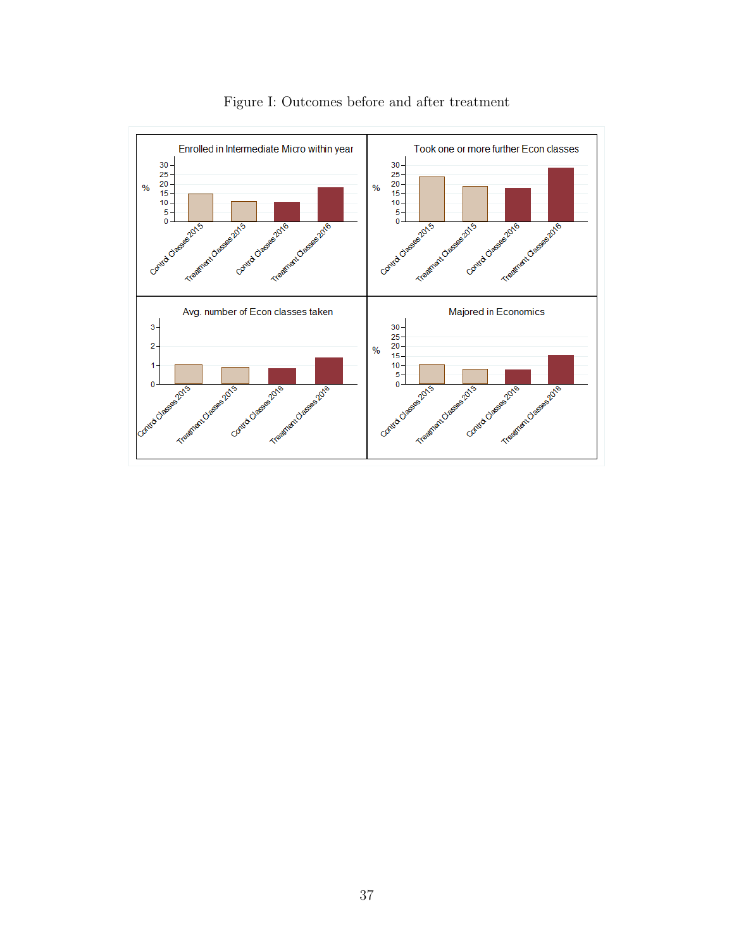

Figure I: Outcomes before and after treatment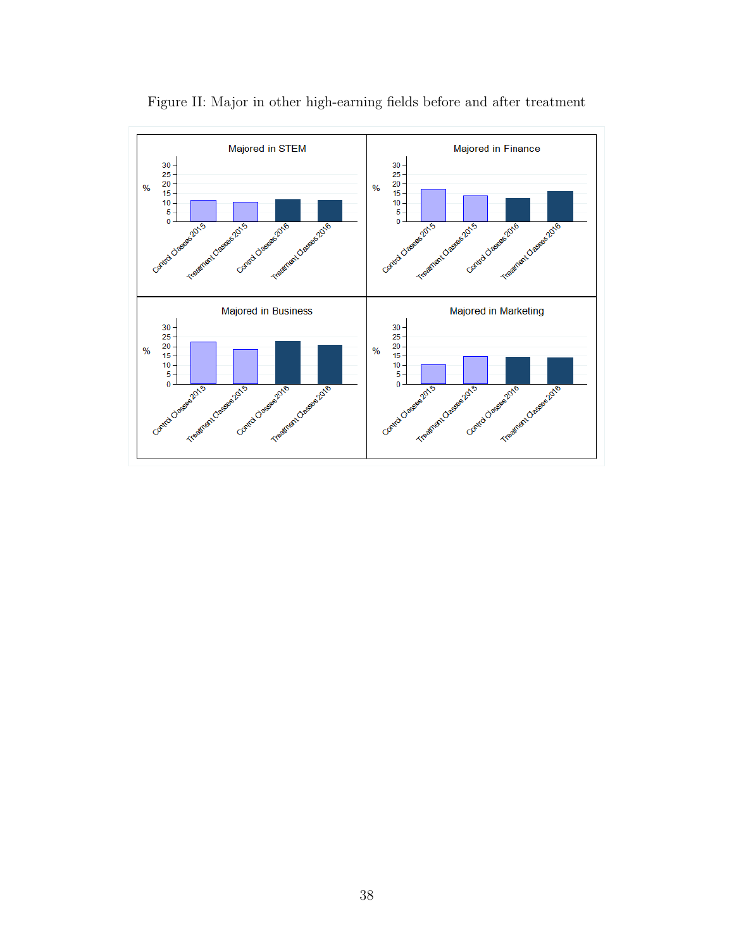

Figure II: Major in other high-earning fields before and after treatment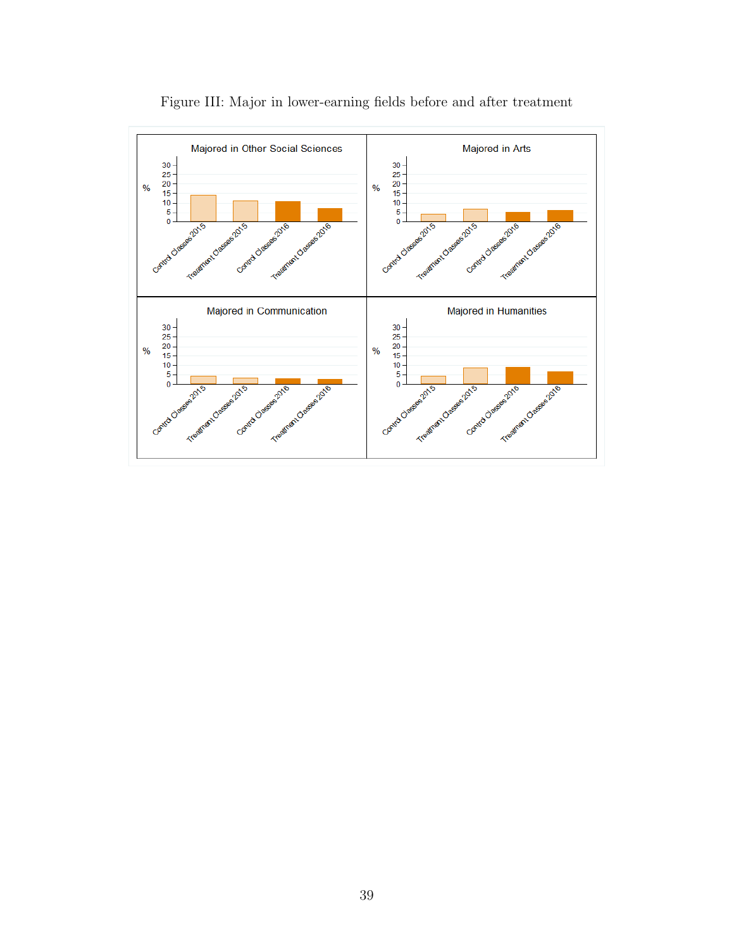

Figure III: Major in lower-earning fields before and after treatment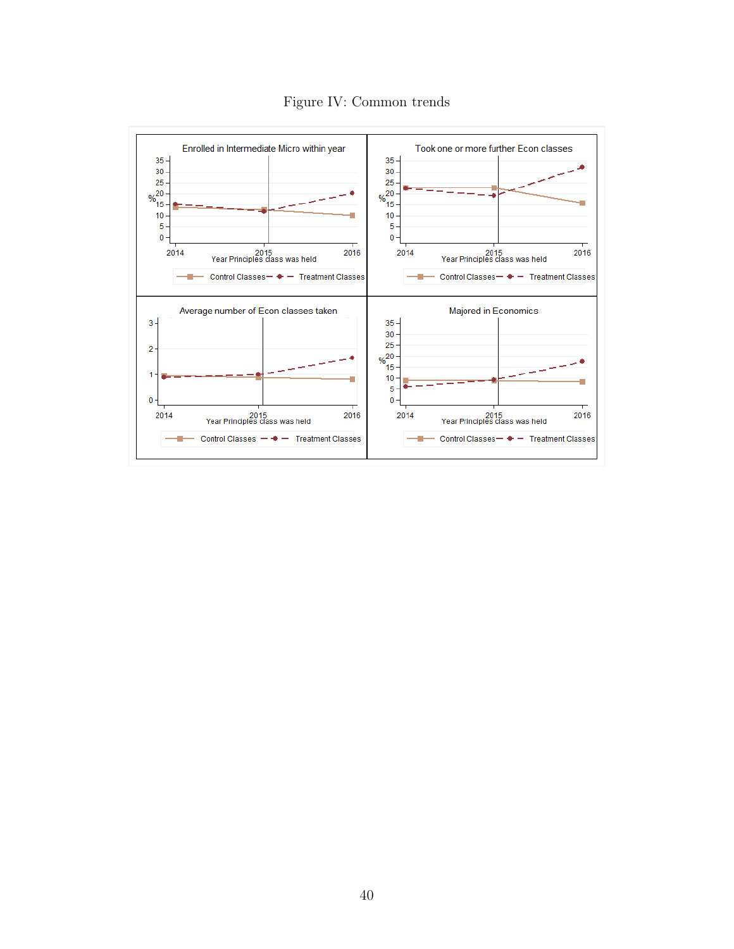

Figure IV: Common trends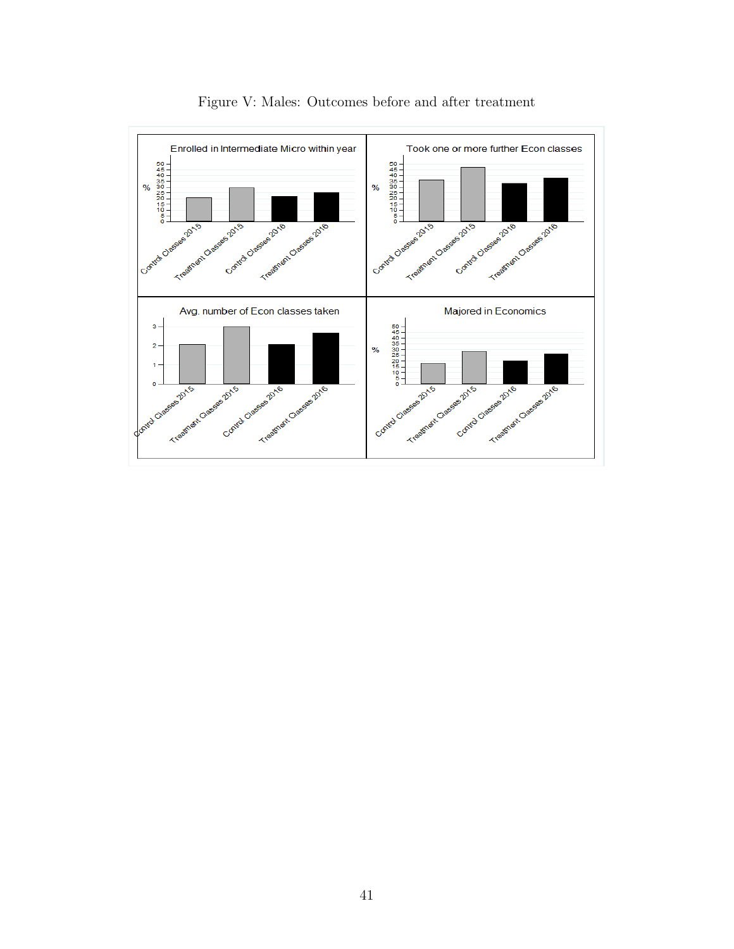

Figure V: Males: Outcomes before and after treatment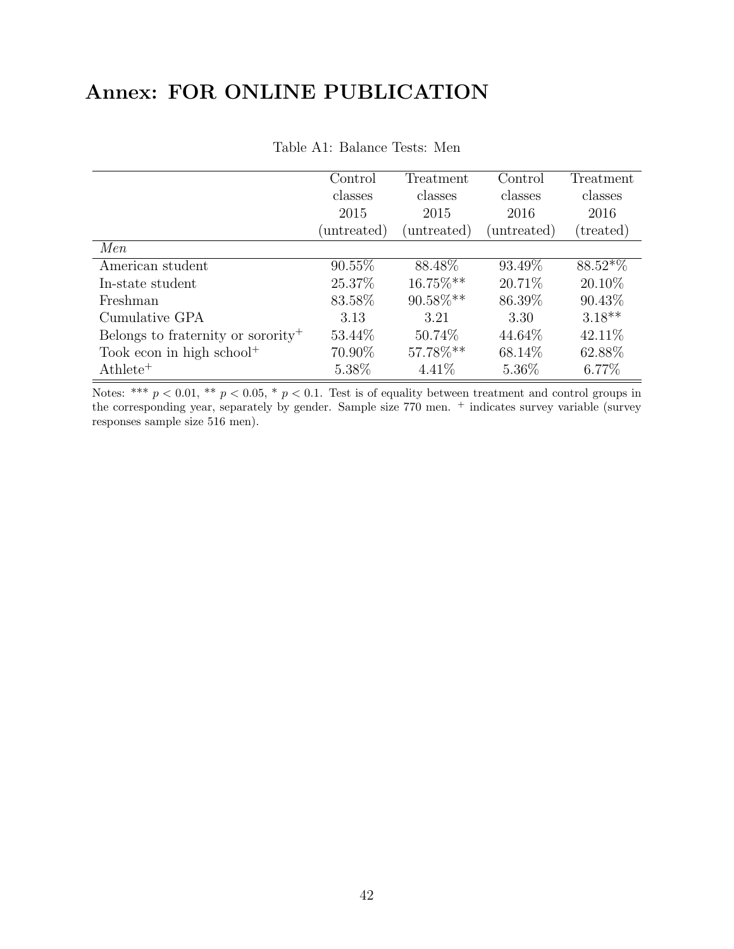# Annex: FOR ONLINE PUBLICATION

|                                                | Control<br>Treatment |             | Control     | Treatment |
|------------------------------------------------|----------------------|-------------|-------------|-----------|
|                                                | classes              | classes     | classes     | classes   |
|                                                | 2015                 | 2015        | 2016        | 2016      |
|                                                | (untreated)          | (untreated) | (untreated) | (treated) |
| Men                                            |                      |             |             |           |
| American student                               | $90.55\%$            | 88.48%      | 93.49%      | $88.52*%$ |
| In-state student                               | 25.37%               | 16.75%**    | 20.71\%     | 20.10\%   |
| Freshman                                       | 83.58%               | 90.58%**    | 86.39%      | 90.43%    |
| Cumulative GPA                                 | 3.13                 | 3.21        | 3.30        | $3.18***$ |
| Belongs to fraternity or sorority <sup>+</sup> | 53.44\%              | 50.74\%     | 44.64\%     | 42.11\%   |
| Took econ in high school <sup>+</sup>          | 70.90%               | 57.78%**    | 68.14\%     | 62.88%    |
| $\mathrm{Athlete^{+}}$                         | 5.38%                | 4.41\%      | 5.36%       | 6.77%     |

Table A1: Balance Tests: Men

Notes: \*\*\*  $p < 0.01$ , \*\*  $p < 0.05$ , \*  $p < 0.1$ . Test is of equality between treatment and control groups in the corresponding year, separately by gender. Sample size 770 men. <sup>+</sup> indicates survey variable (survey responses sample size 516 men).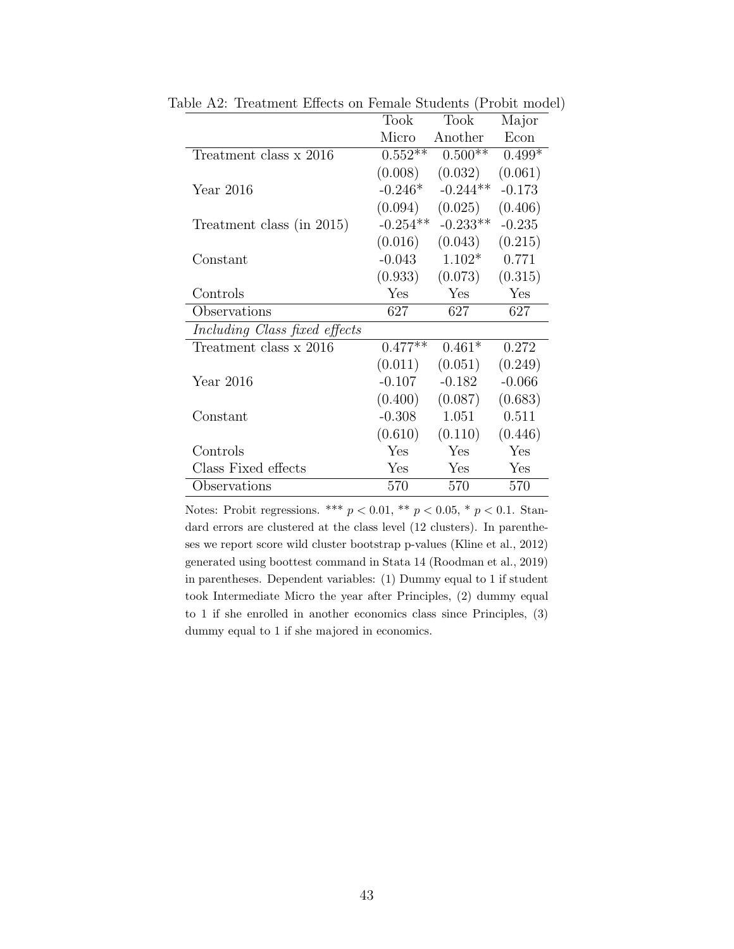|                               | Took       | Took       | Major    |
|-------------------------------|------------|------------|----------|
|                               | Micro      | Another    | Econ     |
| Treatment class x 2016        | $0.552**$  | $0.500**$  | $0.499*$ |
|                               | (0.008)    | (0.032)    | (0.061)  |
| Year $2016$                   | $-0.246*$  | $-0.244**$ | $-0.173$ |
|                               | (0.094)    | (0.025)    | (0.406)  |
| Treatment class (in 2015)     | $-0.254**$ | $-0.233**$ | $-0.235$ |
|                               | (0.016)    | (0.043)    | (0.215)  |
| Constant                      | $-0.043$   | $1.102*$   | 0.771    |
|                               | (0.933)    | (0.073)    | (0.315)  |
| Controls                      | Yes        | Yes        | Yes      |
| Observations                  | 627        | 627        | 627      |
| Including Class fixed effects |            |            |          |
| Treatment class x 2016        | $0.477**$  | $0.461*$   | 0.272    |
|                               | (0.011)    | (0.051)    | (0.249)  |
| Year 2016                     | $-0.107$   | $-0.182$   | $-0.066$ |
|                               | (0.400)    | (0.087)    | (0.683)  |
| Constant                      | $-0.308$   | 1.051      | 0.511    |
|                               | (0.610)    | (0.110)    | (0.446)  |
| Controls                      | Yes        | Yes        | Yes      |
| Class Fixed effects           | Yes        | Yes        | Yes      |
| Observations                  | 570        | 570        | 570      |

Table A2: Treatment Effects on Female Students (Probit model)

Notes: Probit regressions. \*\*\*  $p < 0.01$ , \*\*  $p < 0.05$ , \*  $p < 0.1$ . Standard errors are clustered at the class level (12 clusters). In parentheses we report score wild cluster bootstrap p-values (Kline et al., 2012) generated using boottest command in Stata 14 (Roodman et al., 2019) in parentheses. Dependent variables: (1) Dummy equal to 1 if student took Intermediate Micro the year after Principles, (2) dummy equal to 1 if she enrolled in another economics class since Principles, (3) dummy equal to 1 if she majored in economics.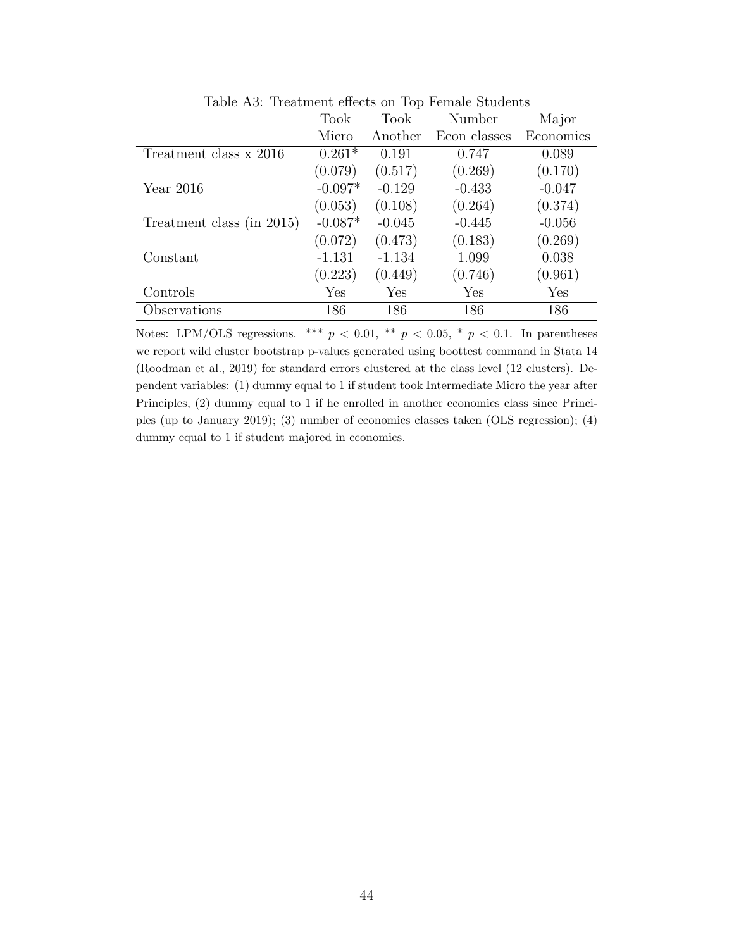|                           | <b>Took</b> | Took     | Number       | Major     |
|---------------------------|-------------|----------|--------------|-----------|
|                           | Micro       | Another  | Econ classes | Economics |
| Treatment class x 2016    | $0.261*$    | 0.191    | 0.747        | 0.089     |
|                           | (0.079)     | (0.517)  | (0.269)      | (0.170)   |
| Year $2016$               | $-0.097*$   | $-0.129$ | $-0.433$     | $-0.047$  |
|                           | (0.053)     | (0.108)  | (0.264)      | (0.374)   |
| Treatment class (in 2015) | $-0.087*$   | $-0.045$ | $-0.445$     | $-0.056$  |
|                           | (0.072)     | (0.473)  | (0.183)      | (0.269)   |
| Constant                  | $-1.131$    | $-1.134$ | 1.099        | 0.038     |
|                           | (0.223)     | (0.449)  | (0.746)      | (0.961)   |
| Controls                  | Yes         | Yes      | Yes          | Yes       |
| Observations              | 186         | 186      | 186          | 186       |

Table A3: Treatment effects on Top Female Students

Notes: LPM/OLS regressions. \*\*\*  $p < 0.01$ , \*\*  $p < 0.05$ , \*  $p < 0.1$ . In parentheses we report wild cluster bootstrap p-values generated using boottest command in Stata 14 (Roodman et al., 2019) for standard errors clustered at the class level (12 clusters). Dependent variables: (1) dummy equal to 1 if student took Intermediate Micro the year after Principles, (2) dummy equal to 1 if he enrolled in another economics class since Principles (up to January 2019); (3) number of economics classes taken (OLS regression); (4) dummy equal to 1 if student majored in economics.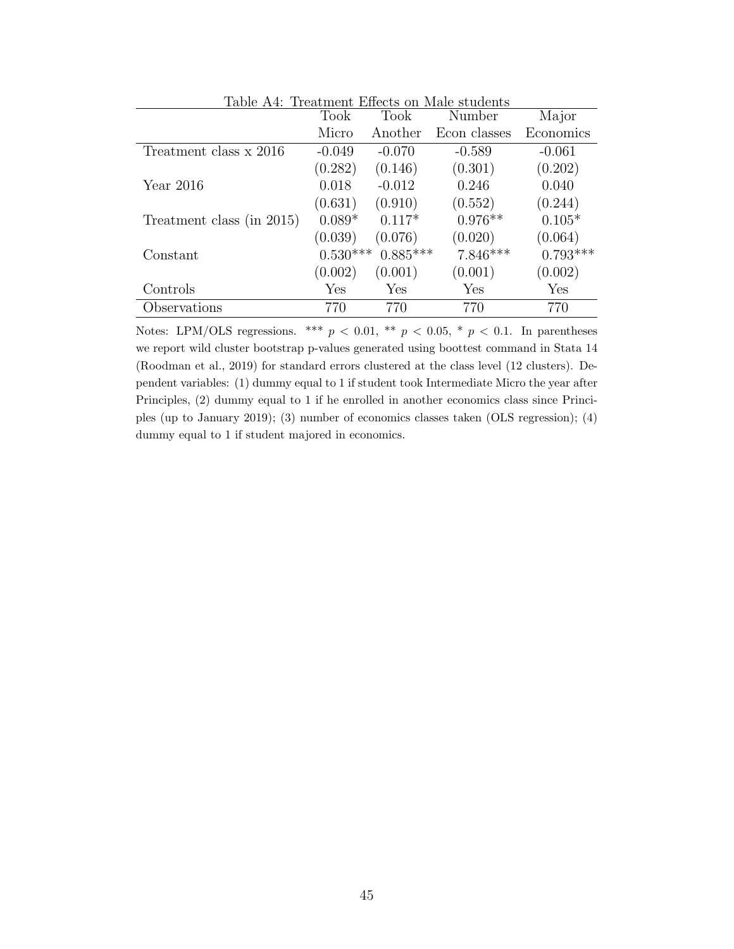| Table A4: Treatment Effects on Male students |            |            |              |            |  |
|----------------------------------------------|------------|------------|--------------|------------|--|
|                                              | Took       | Took       | Number       | Major      |  |
|                                              | Micro      | Another    | Econ classes | Economics  |  |
| Treatment class x 2016                       | $-0.049$   | $-0.070$   | $-0.589$     | $-0.061$   |  |
|                                              | (0.282)    | (0.146)    | (0.301)      | (0.202)    |  |
| Year $2016$                                  | 0.018      | $-0.012$   | 0.246        | 0.040      |  |
|                                              | (0.631)    | (0.910)    | (0.552)      | (0.244)    |  |
| Treatment class (in 2015)                    | $0.089*$   | $0.117*$   | $0.976**$    | $0.105*$   |  |
|                                              | (0.039)    | (0.076)    | (0.020)      | (0.064)    |  |
| Constant                                     | $0.530***$ | $0.885***$ | $7.846***$   | $0.793***$ |  |
|                                              | (0.002)    | (0.001)    | (0.001)      | (0.002)    |  |
| Controls                                     | Yes        | Yes        | Yes          | Yes        |  |
| Observations                                 | 770        | 770        | 770          | 770        |  |

Notes: LPM/OLS regressions. \*\*\*  $p < 0.01$ , \*\*  $p < 0.05$ , \*  $p < 0.1$ . In parentheses we report wild cluster bootstrap p-values generated using boottest command in Stata 14 (Roodman et al., 2019) for standard errors clustered at the class level (12 clusters). Dependent variables: (1) dummy equal to 1 if student took Intermediate Micro the year after Principles, (2) dummy equal to 1 if he enrolled in another economics class since Principles (up to January 2019); (3) number of economics classes taken (OLS regression); (4) dummy equal to 1 if student majored in economics.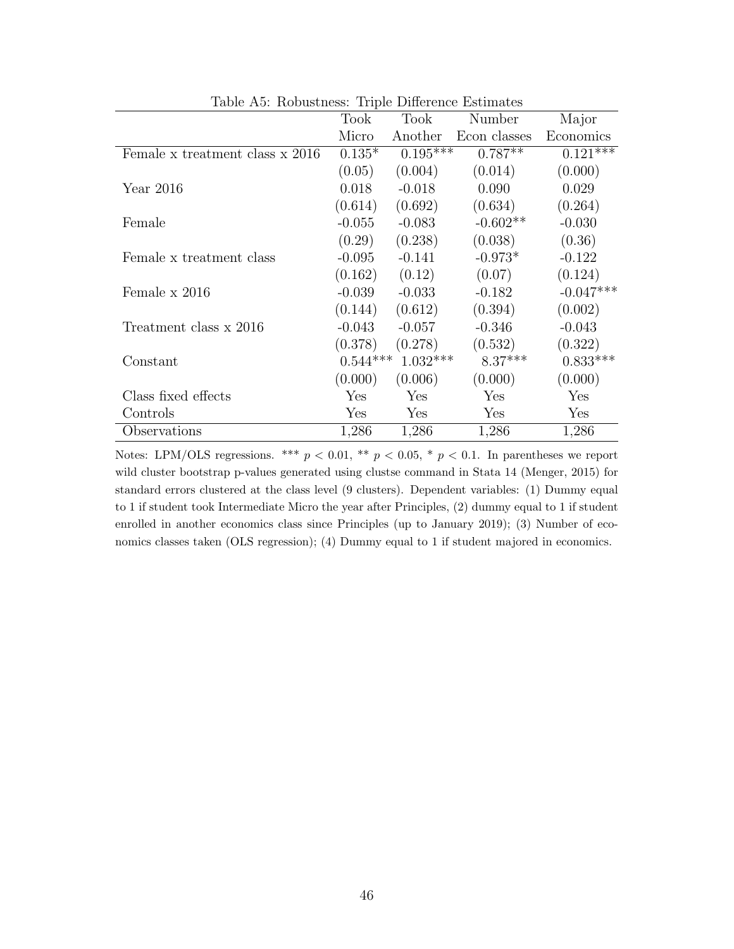| Table A5: Robustness: Triple Difference Estimates |            |            |              |             |  |  |
|---------------------------------------------------|------------|------------|--------------|-------------|--|--|
|                                                   | Took       | Took       | Number       | Major       |  |  |
|                                                   | Micro      | Another    | Econ classes | Economics   |  |  |
| Female x treatment class x 2016                   | $0.135*$   | $0.195***$ | $0.787**$    | $0.121***$  |  |  |
|                                                   | (0.05)     | (0.004)    | (0.014)      | (0.000)     |  |  |
| Year 2016                                         | 0.018      | $-0.018$   | 0.090        | 0.029       |  |  |
|                                                   | (0.614)    | (0.692)    | (0.634)      | (0.264)     |  |  |
| Female                                            | $-0.055$   | $-0.083$   | $-0.602**$   | $-0.030$    |  |  |
|                                                   | (0.29)     | (0.238)    | (0.038)      | (0.36)      |  |  |
| Female x treatment class                          | $-0.095$   | $-0.141$   | $-0.973*$    | $-0.122$    |  |  |
|                                                   | (0.162)    | (0.12)     | (0.07)       | (0.124)     |  |  |
| Female x 2016                                     | $-0.039$   | $-0.033$   | $-0.182$     | $-0.047***$ |  |  |
|                                                   | (0.144)    | (0.612)    | (0.394)      | (0.002)     |  |  |
| Treatment class x 2016                            | $-0.043$   | $-0.057$   | $-0.346$     | $-0.043$    |  |  |
|                                                   | (0.378)    | (0.278)    | (0.532)      | (0.322)     |  |  |
| Constant                                          | $0.544***$ | $1.032***$ | $8.37***$    | $0.833***$  |  |  |
|                                                   | (0.000)    | (0.006)    | (0.000)      | (0.000)     |  |  |
| Class fixed effects                               | Yes        | Yes        | Yes          | Yes         |  |  |
| Controls                                          | Yes        | Yes        | Yes          | Yes         |  |  |
| Observations                                      | 1,286      | 1,286      | 1,286        | 1,286       |  |  |

Notes: LPM/OLS regressions. \*\*\*  $p < 0.01$ , \*\*  $p < 0.05$ , \*  $p < 0.1$ . In parentheses we report wild cluster bootstrap p-values generated using clustse command in Stata 14 (Menger, 2015) for standard errors clustered at the class level (9 clusters). Dependent variables: (1) Dummy equal to 1 if student took Intermediate Micro the year after Principles, (2) dummy equal to 1 if student enrolled in another economics class since Principles (up to January 2019); (3) Number of economics classes taken (OLS regression); (4) Dummy equal to 1 if student majored in economics.